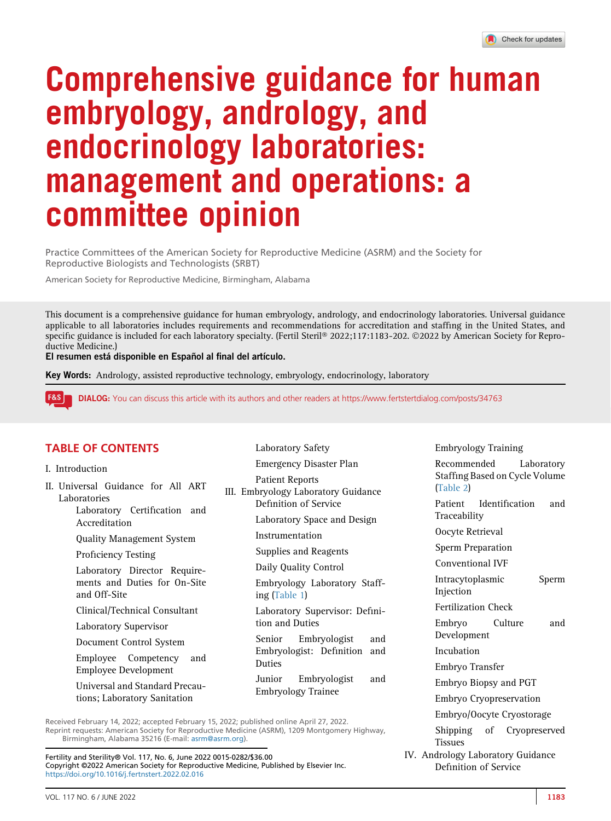# Comprehensive guidance for human embryology, andrology, and endocrinology laboratories: management and operations: a committee opinion

Practice Committees of the American Society for Reproductive Medicine (ASRM) and the Society for Reproductive Biologists and Technologists (SRBT)

American Society for Reproductive Medicine, Birmingham, Alabama

This document is a comprehensive guidance for human embryology, andrology, and endocrinology laboratories. Universal guidance applicable to all laboratories includes requirements and recommendations for accreditation and staffing in the United States, and specific guidance is included for each laboratory specialty. (Fertil Steril® 2022;117:1183-202. ©2022 by American Society for Reproductive Medicine.)

El resumen está disponible en Español al final del artículo.

Key Words: Andrology, assisted reproductive technology, embryology, endocrinology, laboratory

**F&S** DIALOG: You can discuss this article with its authors and other readers at<https://www.fertstertdialog.com/posts/34763>

#### TABLE OF CONTENTS

- I. Introduction
- II. Universal Guidance for All ART Laboratories

Laboratory Certification and Accreditation

Quality Management System

Proficiency Testing

Laboratory Director Requirements and Duties for On-Site and Off-Site

Clinical/Technical Consultant

Laboratory Supervisor

Document Control System

Employee Competency and Employee Development

Universal and Standard Precautions; Laboratory Sanitation

Laboratory Safety Emergency Disaster Plan Patient Reports III. Embryology Laboratory Guidance Definition of Service Laboratory Space and Design Instrumentation Supplies and Reagents Daily Quality Control Embryology Laboratory Staffing ([Table 1](#page-2-0)) Laboratory Supervisor: Definition and Duties Senior Embryologist and Embryologist: Definition and Duties Junior Embryologist and Embryology Trainee

Received February 14, 2022; accepted February 15, 2022; published online April 27, 2022. Reprint requests: American Society for Reproductive Medicine (ASRM), 1209 Montgomery Highway, Birmingham, Alabama 35216 (E-mail: [asrm@asrm.org\)](mailto:asrm@asrm.org).

Fertility and Sterility® Vol. 117, No. 6, June 2022 0015-0282/\$36.00 Copyright ©2022 American Society for Reproductive Medicine, Published by Elsevier Inc. <https://doi.org/10.1016/j.fertnstert.2022.02.016>

Embryology Training Recommended Laboratory Staffing Based on Cycle Volume [\(Table 2](#page-3-0)) Patient Identification and Traceability Oocyte Retrieval Sperm Preparation Conventional IVF Intracytoplasmic Sperm Injection Fertilization Check Embryo Culture and Development Incubation Embryo Transfer Embryo Biopsy and PGT Embryo Cryopreservation Embryo/Oocyte Cryostorage Shipping of Cryopreserved Tissues IV. Andrology Laboratory Guidance Definition of Service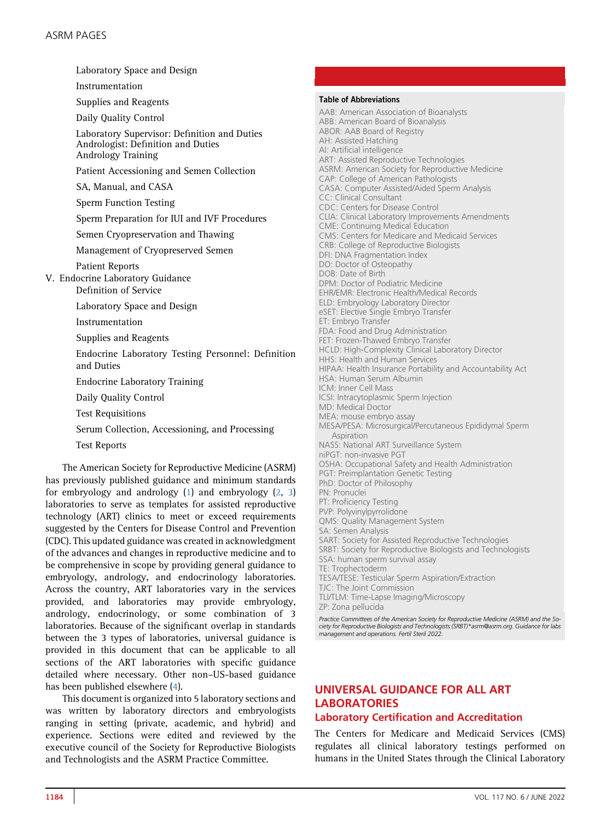Laboratory Space and Design Instrumentation Supplies and Reagents Daily Quality Control Laboratory Supervisor: Definition and Duties Andrologist: Definition and Duties Andrology Training Patient Accessioning and Semen Collection SA, Manual, and CASA Sperm Function Testing Sperm Preparation for IUI and IVF Procedures Semen Cryopreservation and Thawing Management of Cryopreserved Semen Patient Reports V. Endocrine Laboratory Guidance Definition of Service Laboratory Space and Design Instrumentation Supplies and Reagents Endocrine Laboratory Testing Personnel: Definition and Duties Endocrine Laboratory Training Daily Quality Control Test Requisitions Serum Collection, Accessioning, and Processing Test Reports The American Society for Reproductive Medicine (ASRM) has previously published guidance and minimum standards

for embryology and andrology ([1](#page-17-0)) and embryology ([2,](#page-17-1) [3](#page-17-2)) laboratories to serve as templates for assisted reproductive technology (ART) clinics to meet or exceed requirements suggested by the Centers for Disease Control and Prevention (CDC). This updated guidance was created in acknowledgment of the advances and changes in reproductive medicine and to be comprehensive in scope by providing general guidance to embryology, andrology, and endocrinology laboratories. Across the country, ART laboratories vary in the services provided, and laboratories may provide embryology, andrology, endocrinology, or some combination of 3 laboratories. Because of the significant overlap in standards between the 3 types of laboratories, universal guidance is provided in this document that can be applicable to all sections of the ART laboratories with specific guidance detailed where necessary. Other non–US-based guidance has been published elsewhere ([4\)](#page-17-3).

This document is organized into 5 laboratory sections and was written by laboratory directors and embryologists ranging in setting (private, academic, and hybrid) and experience. Sections were edited and reviewed by the executive council of the Society for Reproductive Biologists and Technologists and the ASRM Practice Committee.

#### Table of Abbreviations

AAB: American Association of Bioanalysts ABB: American Board of Bioanalysis ABOR: AAB Board of Registry AH: Assisted Hatching AI: Artificial intelligence ART: Assisted Reproductive Technologies ASRM: American Society for Reproductive Medicine CAP: College of American Pathologists CASA: Computer Assisted/Aided Sperm Analysis CC: Clinical Consultant CDC: Centers for Disease Control CLIA: Clinical Laboratory Improvements Amendments CME: Continuing Medical Education CMS: Centers for Medicare and Medicaid Services CRB: College of Reproductive Biologists DFI: DNA Fragmentation Index DO: Doctor of Osteopathy DOB: Date of Birth DPM: Doctor of Podiatric Medicine EHR/EMR: Electronic Health/Medical Records ELD: Embryology Laboratory Director eSET: Elective Single Embryo Transfer ET: Embryo Transfer FDA: Food and Drug Administration FET: Frozen-Thawed Embryo Transfer HCLD: High-Complexity Clinical Laboratory Director HHS: Health and Human Services HIPAA: Health Insurance Portability and Accountability Act HSA: Human Serum Albumin ICM: Inner Cell Mass ICSI: Intracytoplasmic Sperm Injection MD: Medical Doctor MEA: mouse embryo assay MESA/PESA: Microsurgical/Percutaneous Epididymal Sperm Aspiration NASS: National ART Surveillance System niPGT: non-invasive PGT OSHA: Occupational Safety and Health Administration PGT: Preimplantation Genetic Testing PhD: Doctor of Philosophy PN: Pronuclei PT: Proficiency Testing PVP: Polyvinylpyrrolidone QMS: Quality Management System SA: Semen Analysis SART: Society for Assisted Reproductive Technologies SRBT: Society for Reproductive Biologists and Technologists SSA: human sperm survival assay TE: Trophectoderm TESA/TESE: Testicular Sperm Aspiration/Extraction TJC: The Joint Commission TLI/TLM: Time-Lapse Imaging/Microscopy ZP: Zona pellucida Practice Committees of the American Society for Reproductive Medicine (ASRM) and the So-

ciety for Reproductive Biologists and Technologists (SRBT)\*asrm@asrm.org. Guidance for labs management and operations. Fertil Steril 2022.

# UNIVERSAL GUIDANCE FOR ALL ART LABORATORIES Laboratory Certification and Accreditation

The Centers for Medicare and Medicaid Services (CMS) regulates all clinical laboratory testings performed on humans in the United States through the Clinical Laboratory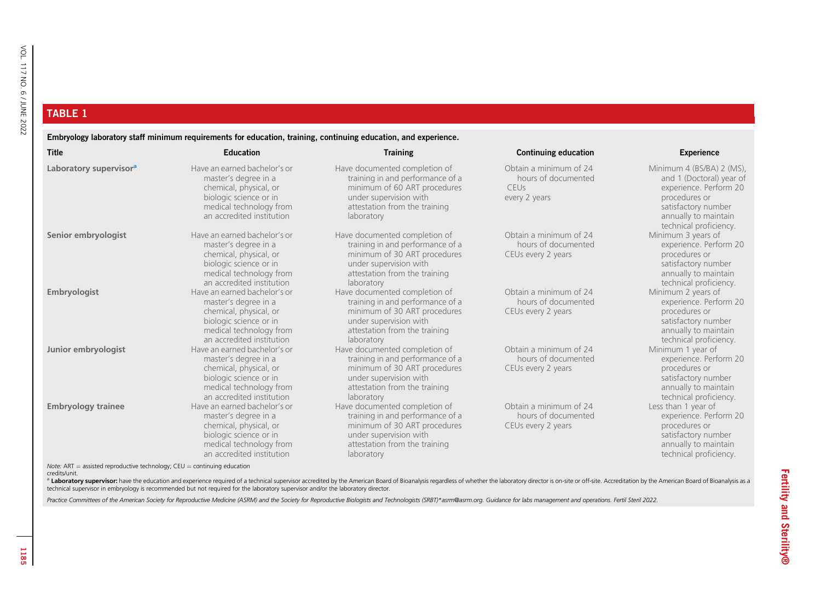#### <span id="page-2-0"></span>TABLE 1

Embryology laboratory staff minimum requirements for education, training, continuing education, and experience.

| <b>Title</b>                                                                      | Education                                                                                                                                                        | <b>Training</b>                                                                                                                                                            | <b>Continuing education</b>                                            | <b>Experience</b>                                                                                                                                                         |
|-----------------------------------------------------------------------------------|------------------------------------------------------------------------------------------------------------------------------------------------------------------|----------------------------------------------------------------------------------------------------------------------------------------------------------------------------|------------------------------------------------------------------------|---------------------------------------------------------------------------------------------------------------------------------------------------------------------------|
| Laboratory supervisor <sup>a</sup>                                                | Have an earned bachelor's or<br>master's degree in a<br>chemical, physical, or<br>biologic science or in<br>medical technology from<br>an accredited institution | Have documented completion of<br>training in and performance of a<br>minimum of 60 ART procedures<br>under supervision with<br>attestation from the training<br>laboratory | Obtain a minimum of 24<br>hours of documented<br>CEUs<br>every 2 years | Minimum 4 (BS/BA) 2 (MS),<br>and 1 (Doctoral) year of<br>experience. Perform 20<br>procedures or<br>satisfactory number<br>annually to maintain<br>technical proficiency. |
| Senior embryologist                                                               | Have an earned bachelor's or<br>master's degree in a<br>chemical, physical, or<br>biologic science or in<br>medical technology from<br>an accredited institution | Have documented completion of<br>training in and performance of a<br>minimum of 30 ART procedures<br>under supervision with<br>attestation from the training<br>laboratory | Obtain a minimum of 24<br>hours of documented<br>CEUs every 2 years    | Minimum 3 years of<br>experience. Perform 20<br>procedures or<br>satisfactory number<br>annually to maintain<br>technical proficiency.                                    |
| Embryologist                                                                      | Have an earned bachelor's or<br>master's degree in a<br>chemical, physical, or<br>biologic science or in<br>medical technology from<br>an accredited institution | Have documented completion of<br>training in and performance of a<br>minimum of 30 ART procedures<br>under supervision with<br>attestation from the training<br>laboratory | Obtain a minimum of 24<br>hours of documented<br>CEUs every 2 years    | Minimum 2 years of<br>experience. Perform 20<br>procedures or<br>satisfactory number<br>annually to maintain<br>technical proficiency.                                    |
| Junior embryologist                                                               | Have an earned bachelor's or<br>master's degree in a<br>chemical, physical, or<br>biologic science or in<br>medical technology from<br>an accredited institution | Have documented completion of<br>training in and performance of a<br>minimum of 30 ART procedures<br>under supervision with<br>attestation from the training<br>laboratory | Obtain a minimum of 24<br>hours of documented<br>CEUs every 2 years    | Minimum 1 year of<br>experience. Perform 20<br>procedures or<br>satisfactory number<br>annually to maintain<br>technical proficiency.                                     |
| <b>Embryology trainee</b>                                                         | Have an earned bachelor's or<br>master's degree in a<br>chemical, physical, or<br>biologic science or in<br>medical technology from<br>an accredited institution | Have documented completion of<br>training in and performance of a<br>minimum of 30 ART procedures<br>under supervision with<br>attestation from the training<br>laboratory | Obtain a minimum of 24<br>hours of documented<br>CEUs every 2 years    | Less than 1 year of<br>experience. Perform 20<br>procedures or<br>satisfactory number<br>annually to maintain<br>technical proficiency.                                   |
| <i>Note:</i> ART = assisted reproductive technology; $CEU =$ continuing education |                                                                                                                                                                  |                                                                                                                                                                            |                                                                        |                                                                                                                                                                           |

credits/unit.

a Laboratory supervisor: have the education and experience required of a technical supervisor accredited by the American Board of Bioanalysis regardless of whether the laboratory director is on-site or off-site. Accreditat

Practice Committees of the American Society for Reproductive Medicine (ASRM) and the Society for Reproductive Biologists and Technologists (SRBT)\*asrm@asrm.org. Guidance for labs management and operations. Fertil Steril 20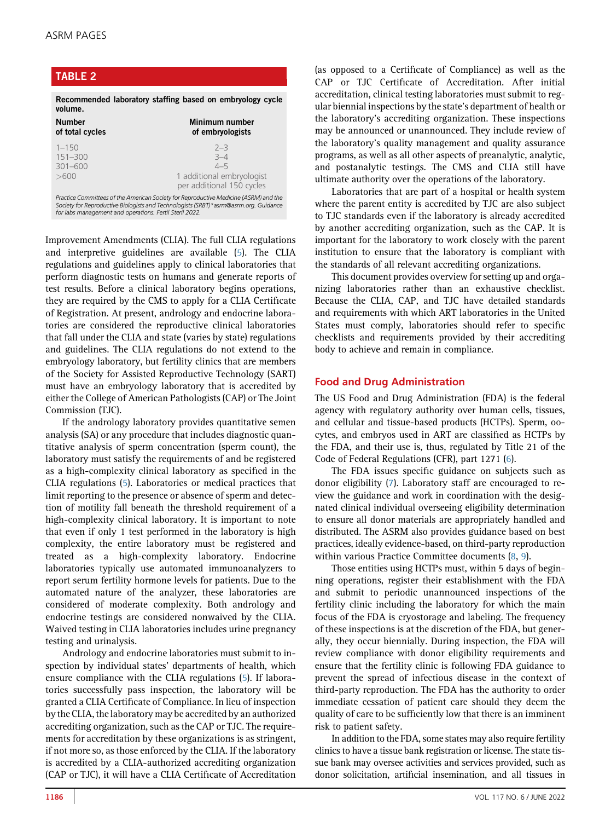#### <span id="page-3-0"></span>TABLE 2 Recommended laboratory staffing based on embryology cycle volume. Number of total cycles Minimum number of embryologists 1–150 2–3 151–300 3–4 301–600 >600 1 additional embryologist per additional 150 cycles Practice Committees of the American Society for Reproductive Medicine (ASRM) and the Society for Reproductive Biologists and Technologists (SRBT)\*asrm@asrm.org. Guidance for labs management and operations. Fertil Steril 2022.

Improvement Amendments (CLIA). The full CLIA regulations and interpretive guidelines are available [\(5](#page-17-4)). The CLIA regulations and guidelines apply to clinical laboratories that perform diagnostic tests on humans and generate reports of test results. Before a clinical laboratory begins operations, they are required by the CMS to apply for a CLIA Certificate of Registration. At present, andrology and endocrine laboratories are considered the reproductive clinical laboratories that fall under the CLIA and state (varies by state) regulations and guidelines. The CLIA regulations do not extend to the embryology laboratory, but fertility clinics that are members of the Society for Assisted Reproductive Technology (SART) must have an embryology laboratory that is accredited by either the College of American Pathologists (CAP) or The Joint Commission (TJC).

If the andrology laboratory provides quantitative semen analysis (SA) or any procedure that includes diagnostic quantitative analysis of sperm concentration (sperm count), the laboratory must satisfy the requirements of and be registered as a high-complexity clinical laboratory as specified in the CLIA regulations [\(5](#page-17-4)). Laboratories or medical practices that limit reporting to the presence or absence of sperm and detection of motility fall beneath the threshold requirement of a high-complexity clinical laboratory. It is important to note that even if only 1 test performed in the laboratory is high complexity, the entire laboratory must be registered and treated as a high-complexity laboratory. Endocrine laboratories typically use automated immunoanalyzers to report serum fertility hormone levels for patients. Due to the automated nature of the analyzer, these laboratories are considered of moderate complexity. Both andrology and endocrine testings are considered nonwaived by the CLIA. Waived testing in CLIA laboratories includes urine pregnancy testing and urinalysis.

Andrology and endocrine laboratories must submit to inspection by individual states' departments of health, which ensure compliance with the CLIA regulations [\(5](#page-17-4)). If laboratories successfully pass inspection, the laboratory will be granted a CLIA Certificate of Compliance. In lieu of inspection by the CLIA, the laboratory may be accredited by an authorized accrediting organization, such as the CAP or TJC. The requirements for accreditation by these organizations is as stringent, if not more so, as those enforced by the CLIA. If the laboratory is accredited by a CLIA-authorized accrediting organization (CAP or TJC), it will have a CLIA Certificate of Accreditation (as opposed to a Certificate of Compliance) as well as the CAP or TJC Certificate of Accreditation. After initial accreditation, clinical testing laboratories must submit to regular biennial inspections by the state's department of health or the laboratory's accrediting organization. These inspections may be announced or unannounced. They include review of the laboratory's quality management and quality assurance programs, as well as all other aspects of preanalytic, analytic, and postanalytic testings. The CMS and CLIA still have ultimate authority over the operations of the laboratory.

Laboratories that are part of a hospital or health system where the parent entity is accredited by TJC are also subject to TJC standards even if the laboratory is already accredited by another accrediting organization, such as the CAP. It is important for the laboratory to work closely with the parent institution to ensure that the laboratory is compliant with the standards of all relevant accrediting organizations.

This document provides overview for setting up and organizing laboratories rather than an exhaustive checklist. Because the CLIA, CAP, and TJC have detailed standards and requirements with which ART laboratories in the United States must comply, laboratories should refer to specific checklists and requirements provided by their accrediting body to achieve and remain in compliance.

# Food and Drug Administration

The US Food and Drug Administration (FDA) is the federal agency with regulatory authority over human cells, tissues, and cellular and tissue-based products (HCTPs). Sperm, oocytes, and embryos used in ART are classified as HCTPs by the FDA, and their use is, thus, regulated by Title 21 of the Code of Federal Regulations (CFR), part 1271 [\(6](#page-17-5)).

The FDA issues specific guidance on subjects such as donor eligibility [\(7](#page-17-6)). Laboratory staff are encouraged to review the guidance and work in coordination with the designated clinical individual overseeing eligibility determination to ensure all donor materials are appropriately handled and distributed. The ASRM also provides guidance based on best practices, ideally evidence-based, on third-party reproduction within various Practice Committee documents ([8,](#page-17-7) [9](#page-17-8)).

Those entities using HCTPs must, within 5 days of beginning operations, register their establishment with the FDA and submit to periodic unannounced inspections of the fertility clinic including the laboratory for which the main focus of the FDA is cryostorage and labeling. The frequency of these inspections is at the discretion of the FDA, but generally, they occur biennially. During inspection, the FDA will review compliance with donor eligibility requirements and ensure that the fertility clinic is following FDA guidance to prevent the spread of infectious disease in the context of third-party reproduction. The FDA has the authority to order immediate cessation of patient care should they deem the quality of care to be sufficiently low that there is an imminent risk to patient safety.

In addition to the FDA, some states may also require fertility clinics to have a tissue bank registration or license. The state tissue bank may oversee activities and services provided, such as donor solicitation, artificial insemination, and all tissues in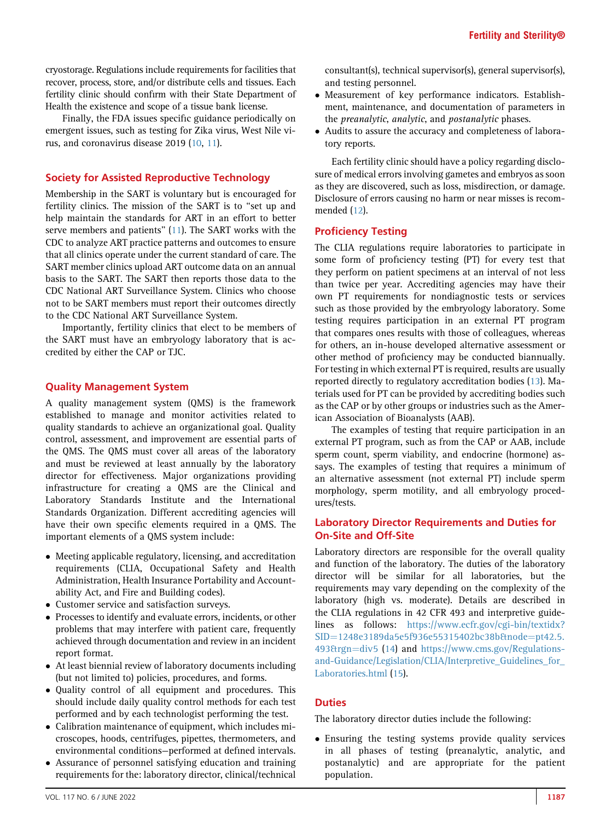cryostorage. Regulations include requirements for facilities that recover, process, store, and/or distribute cells and tissues. Each fertility clinic should confirm with their State Department of Health the existence and scope of a tissue bank license.

Finally, the FDA issues specific guidance periodically on emergent issues, such as testing for Zika virus, West Nile virus, and coronavirus disease 2019 [\(10](#page-17-9), [11\)](#page-17-10).

#### Society for Assisted Reproductive Technology

Membership in the SART is voluntary but is encouraged for fertility clinics. The mission of the SART is to "set up and help maintain the standards for ART in an effort to better serve members and patients'' ([11](#page-17-10)). The SART works with the CDC to analyze ART practice patterns and outcomes to ensure that all clinics operate under the current standard of care. The SART member clinics upload ART outcome data on an annual basis to the SART. The SART then reports those data to the CDC National ART Surveillance System. Clinics who choose not to be SART members must report their outcomes directly to the CDC National ART Surveillance System.

Importantly, fertility clinics that elect to be members of the SART must have an embryology laboratory that is accredited by either the CAP or TJC.

# Quality Management System

A quality management system (QMS) is the framework established to manage and monitor activities related to quality standards to achieve an organizational goal. Quality control, assessment, and improvement are essential parts of the QMS. The QMS must cover all areas of the laboratory and must be reviewed at least annually by the laboratory director for effectiveness. Major organizations providing infrastructure for creating a QMS are the Clinical and Laboratory Standards Institute and the International Standards Organization. Different accrediting agencies will have their own specific elements required in a QMS. The important elements of a QMS system include:

- Meeting applicable regulatory, licensing, and accreditation requirements (CLIA, Occupational Safety and Health Administration, Health Insurance Portability and Accountability Act, and Fire and Building codes).
- Customer service and satisfaction surveys.
- Processes to identify and evaluate errors, incidents, or other problems that may interfere with patient care, frequently achieved through documentation and review in an incident report format.
- At least biennial review of laboratory documents including (but not limited to) policies, procedures, and forms.
- Quality control of all equipment and procedures. This should include daily quality control methods for each test performed and by each technologist performing the test.
- Calibration maintenance of equipment, which includes microscopes, hoods, centrifuges, pipettes, thermometers, and environmental conditions—performed at defined intervals.
- $\bullet$  Assurance of personnel satisfying education and training requirements for the: laboratory director, clinical/technical

consultant(s), technical supervisor(s), general supervisor(s), and testing personnel.

- Measurement of key performance indicators. Establishment, maintenance, and documentation of parameters in the preanalytic, analytic, and postanalytic phases.
- Audits to assure the accuracy and completeness of laboratory reports.

Each fertility clinic should have a policy regarding disclosure of medical errors involving gametes and embryos as soon as they are discovered, such as loss, misdirection, or damage. Disclosure of errors causing no harm or near misses is recommended ([12](#page-17-11)).

#### Proficiency Testing

The CLIA regulations require laboratories to participate in some form of proficiency testing (PT) for every test that they perform on patient specimens at an interval of not less than twice per year. Accrediting agencies may have their own PT requirements for nondiagnostic tests or services such as those provided by the embryology laboratory. Some testing requires participation in an external PT program that compares ones results with those of colleagues, whereas for others, an in-house developed alternative assessment or other method of proficiency may be conducted biannually. For testing in which external PT is required, results are usually reported directly to regulatory accreditation bodies ([13](#page-17-12)). Materials used for PT can be provided by accrediting bodies such as the CAP or by other groups or industries such as the American Association of Bioanalysts (AAB).

The examples of testing that require participation in an external PT program, such as from the CAP or AAB, include sperm count, sperm viability, and endocrine (hormone) assays. The examples of testing that requires a minimum of an alternative assessment (not external PT) include sperm morphology, sperm motility, and all embryology procedures/tests.

#### Laboratory Director Requirements and Duties for On-Site and Off-Site

Laboratory directors are responsible for the overall quality and function of the laboratory. The duties of the laboratory director will be similar for all laboratories, but the requirements may vary depending on the complexity of the laboratory (high vs. moderate). Details are described in the CLIA regulations in 42 CFR 493 and interpretive guidelines as follows: [https://www.ecfr.gov/cgi-bin/textidx?](https://www.ecfr.gov/cgi-bin/textidx?SID=1248e3189da5e5f936e55315402bc38b&node=pt42.5.493&rgn=div5) [SID](https://www.ecfr.gov/cgi-bin/textidx?SID=1248e3189da5e5f936e55315402bc38b&node=pt42.5.493&rgn=div5)=[1248e3189da5e5f936e55315402bc38b&node](https://www.ecfr.gov/cgi-bin/textidx?SID=1248e3189da5e5f936e55315402bc38b&node=pt42.5.493&rgn=div5)=[pt42.5.](https://www.ecfr.gov/cgi-bin/textidx?SID=1248e3189da5e5f936e55315402bc38b&node=pt42.5.493&rgn=div5) [493&rgn](https://www.ecfr.gov/cgi-bin/textidx?SID=1248e3189da5e5f936e55315402bc38b&node=pt42.5.493&rgn=div5)=[div5](https://www.ecfr.gov/cgi-bin/textidx?SID=1248e3189da5e5f936e55315402bc38b&node=pt42.5.493&rgn=div5) ([14\)](#page-17-13) and [https://www.cms.gov/Regulations](https://www.cms.gov/Regulations-and-Guidance/Legislation/CLIA/Interpretive_Guidelines_for_Laboratories.html)[and-Guidance/Legislation/CLIA/Interpretive\\_Guidelines\\_for\\_](https://www.cms.gov/Regulations-and-Guidance/Legislation/CLIA/Interpretive_Guidelines_for_Laboratories.html) [Laboratories.html](https://www.cms.gov/Regulations-and-Guidance/Legislation/CLIA/Interpretive_Guidelines_for_Laboratories.html) ([15](#page-17-14)).

#### **Duties**

The laboratory director duties include the following:

- Ensuring the testing systems provide quality services in all phases of testing (preanalytic, analytic, and postanalytic) and are appropriate for the patient population.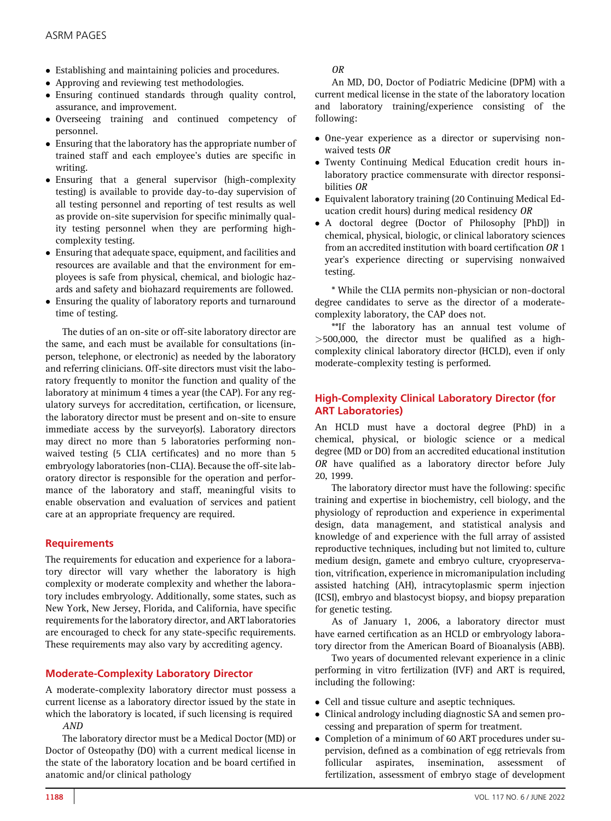- Establishing and maintaining policies and procedures.
- Approving and reviewing test methodologies.
- Ensuring continued standards through quality control, assurance, and improvement.
- Overseeing training and continued competency of personnel.
- Ensuring that the laboratory has the appropriate number of trained staff and each employee's duties are specific in writing.
- Ensuring that a general supervisor (high-complexity testing) is available to provide day-to-day supervision of all testing personnel and reporting of test results as well as provide on-site supervision for specific minimally quality testing personnel when they are performing highcomplexity testing.
- Ensuring that adequate space, equipment, and facilities and resources are available and that the environment for employees is safe from physical, chemical, and biologic hazards and safety and biohazard requirements are followed.
- Ensuring the quality of laboratory reports and turnaround time of testing.

The duties of an on-site or off-site laboratory director are the same, and each must be available for consultations (inperson, telephone, or electronic) as needed by the laboratory and referring clinicians. Off-site directors must visit the laboratory frequently to monitor the function and quality of the laboratory at minimum 4 times a year (the CAP). For any regulatory surveys for accreditation, certification, or licensure, the laboratory director must be present and on-site to ensure immediate access by the surveyor(s). Laboratory directors may direct no more than 5 laboratories performing nonwaived testing (5 CLIA certificates) and no more than 5 embryology laboratories (non-CLIA). Because the off-site laboratory director is responsible for the operation and performance of the laboratory and staff, meaningful visits to enable observation and evaluation of services and patient care at an appropriate frequency are required.

# **Requirements**

The requirements for education and experience for a laboratory director will vary whether the laboratory is high complexity or moderate complexity and whether the laboratory includes embryology. Additionally, some states, such as New York, New Jersey, Florida, and California, have specific requirements for the laboratory director, and ART laboratories are encouraged to check for any state-specific requirements. These requirements may also vary by accrediting agency.

# Moderate-Complexity Laboratory Director

A moderate-complexity laboratory director must possess a current license as a laboratory director issued by the state in which the laboratory is located, if such licensing is required AND

The laboratory director must be a Medical Doctor (MD) or Doctor of Osteopathy (DO) with a current medical license in the state of the laboratory location and be board certified in anatomic and/or clinical pathology

OR

An MD, DO, Doctor of Podiatric Medicine (DPM) with a current medical license in the state of the laboratory location and laboratory training/experience consisting of the following:

- One-year experience as a director or supervising nonwaived tests OR
- Twenty Continuing Medical Education credit hours inlaboratory practice commensurate with director responsibilities OR
- Equivalent laboratory training (20 Continuing Medical Education credit hours) during medical residency OR
- A doctoral degree (Doctor of Philosophy [PhD]) in chemical, physical, biologic, or clinical laboratory sciences from an accredited institution with board certification OR 1 year's experience directing or supervising nonwaived testing.

\* While the CLIA permits non-physician or non-doctoral degree candidates to serve as the director of a moderatecomplexity laboratory, the CAP does not.

\*\*If the laboratory has an annual test volume of >500,000, the director must be qualified as a highcomplexity clinical laboratory director (HCLD), even if only moderate-complexity testing is performed.

# High-Complexity Clinical Laboratory Director (for ART Laboratories)

An HCLD must have a doctoral degree (PhD) in a chemical, physical, or biologic science or a medical degree (MD or DO) from an accredited educational institution OR have qualified as a laboratory director before July 20, 1999.

The laboratory director must have the following: specific training and expertise in biochemistry, cell biology, and the physiology of reproduction and experience in experimental design, data management, and statistical analysis and knowledge of and experience with the full array of assisted reproductive techniques, including but not limited to, culture medium design, gamete and embryo culture, cryopreservation, vitrification, experience in micromanipulation including assisted hatching (AH), intracytoplasmic sperm injection (ICSI), embryo and blastocyst biopsy, and biopsy preparation for genetic testing.

As of January 1, 2006, a laboratory director must have earned certification as an HCLD or embryology laboratory director from the American Board of Bioanalysis (ABB).

Two years of documented relevant experience in a clinic performing in vitro fertilization (IVF) and ART is required, including the following:

- Cell and tissue culture and aseptic techniques.
- Clinical andrology including diagnostic SA and semen processing and preparation of sperm for treatment.
- Completion of a minimum of 60 ART procedures under supervision, defined as a combination of egg retrievals from follicular aspirates, insemination, assessment of fertilization, assessment of embryo stage of development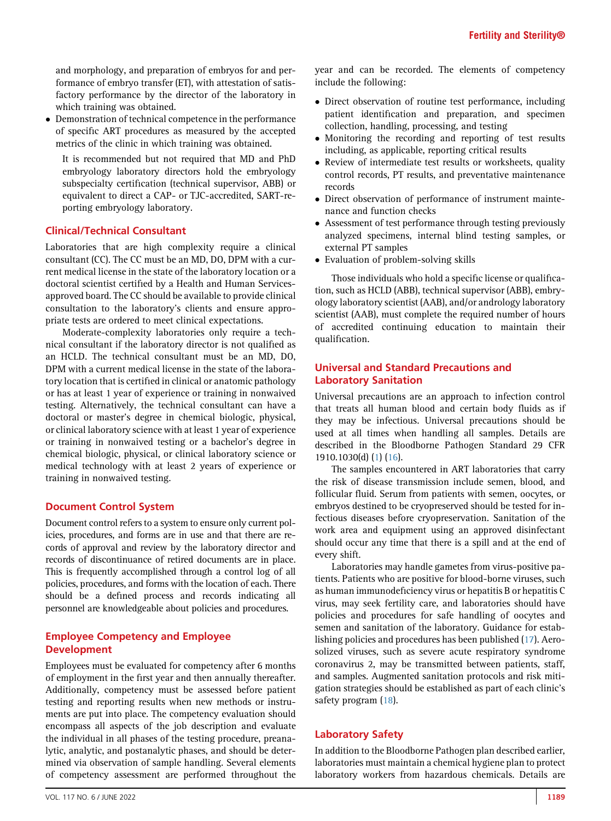and morphology, and preparation of embryos for and performance of embryo transfer (ET), with attestation of satisfactory performance by the director of the laboratory in which training was obtained.

- Demonstration of technical competence in the performance of specific ART procedures as measured by the accepted metrics of the clinic in which training was obtained.

It is recommended but not required that MD and PhD embryology laboratory directors hold the embryology subspecialty certification (technical supervisor, ABB) or equivalent to direct a CAP- or TJC-accredited, SART-reporting embryology laboratory.

#### Clinical/Technical Consultant

Laboratories that are high complexity require a clinical consultant (CC). The CC must be an MD, DO, DPM with a current medical license in the state of the laboratory location or a doctoral scientist certified by a Health and Human Servicesapproved board. The CC should be available to provide clinical consultation to the laboratory's clients and ensure appropriate tests are ordered to meet clinical expectations.

Moderate-complexity laboratories only require a technical consultant if the laboratory director is not qualified as an HCLD. The technical consultant must be an MD, DO, DPM with a current medical license in the state of the laboratory location that is certified in clinical or anatomic pathology or has at least 1 year of experience or training in nonwaived testing. Alternatively, the technical consultant can have a doctoral or master's degree in chemical biologic, physical, or clinical laboratory science with at least 1 year of experience or training in nonwaived testing or a bachelor's degree in chemical biologic, physical, or clinical laboratory science or medical technology with at least 2 years of experience or training in nonwaived testing.

#### Document Control System

Document control refers to a system to ensure only current policies, procedures, and forms are in use and that there are records of approval and review by the laboratory director and records of discontinuance of retired documents are in place. This is frequently accomplished through a control log of all policies, procedures, and forms with the location of each. There should be a defined process and records indicating all personnel are knowledgeable about policies and procedures.

## Employee Competency and Employee Development

Employees must be evaluated for competency after 6 months of employment in the first year and then annually thereafter. Additionally, competency must be assessed before patient testing and reporting results when new methods or instruments are put into place. The competency evaluation should encompass all aspects of the job description and evaluate the individual in all phases of the testing procedure, preanalytic, analytic, and postanalytic phases, and should be determined via observation of sample handling. Several elements of competency assessment are performed throughout the

year and can be recorded. The elements of competency include the following:

- Direct observation of routine test performance, including patient identification and preparation, and specimen collection, handling, processing, and testing
- Monitoring the recording and reporting of test results including, as applicable, reporting critical results
- Review of intermediate test results or worksheets, quality control records, PT results, and preventative maintenance records
- Direct observation of performance of instrument maintenance and function checks
- Assessment of test performance through testing previously analyzed specimens, internal blind testing samples, or external PT samples
- Evaluation of problem-solving skills

Those individuals who hold a specific license or qualification, such as HCLD (ABB), technical supervisor (ABB), embryology laboratory scientist (AAB), and/or andrology laboratory scientist (AAB), must complete the required number of hours of accredited continuing education to maintain their qualification.

# Universal and Standard Precautions and Laboratory Sanitation

Universal precautions are an approach to infection control that treats all human blood and certain body fluids as if they may be infectious. Universal precautions should be used at all times when handling all samples. Details are described in the Bloodborne Pathogen Standard 29 CFR 1910.1030(d) [\(1\)](#page-17-0) ([16](#page-17-15)).

The samples encountered in ART laboratories that carry the risk of disease transmission include semen, blood, and follicular fluid. Serum from patients with semen, oocytes, or embryos destined to be cryopreserved should be tested for infectious diseases before cryopreservation. Sanitation of the work area and equipment using an approved disinfectant should occur any time that there is a spill and at the end of every shift.

Laboratories may handle gametes from virus-positive patients. Patients who are positive for blood-borne viruses, such as human immunodeficiency virus or hepatitis B or hepatitis C virus, may seek fertility care, and laboratories should have policies and procedures for safe handling of oocytes and semen and sanitation of the laboratory. Guidance for establishing policies and procedures has been published [\(17\)](#page-17-16). Aerosolized viruses, such as severe acute respiratory syndrome coronavirus 2, may be transmitted between patients, staff, and samples. Augmented sanitation protocols and risk mitigation strategies should be established as part of each clinic's safety program [\(18\)](#page-17-17).

# Laboratory Safety

In addition to the Bloodborne Pathogen plan described earlier, laboratories must maintain a chemical hygiene plan to protect laboratory workers from hazardous chemicals. Details are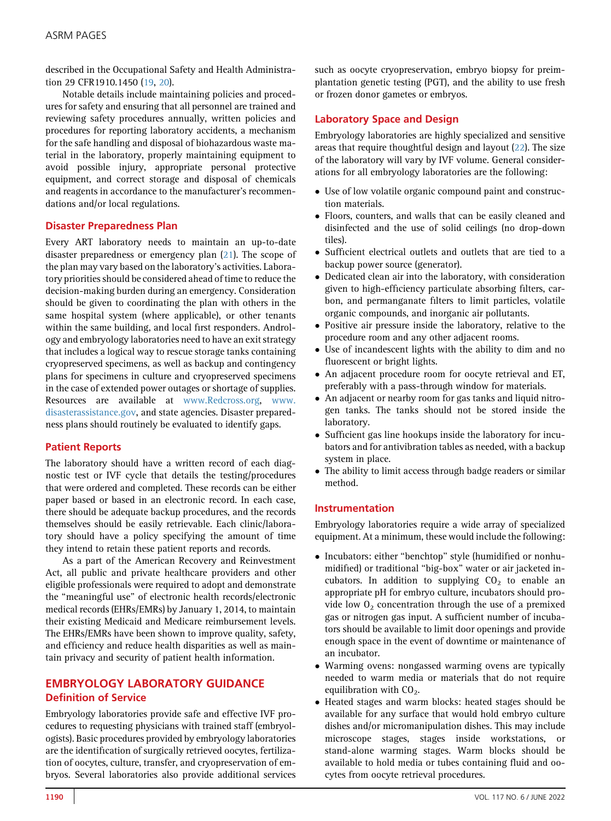described in the Occupational Safety and Health Administration 29 CFR1910.1450 [\(19,](#page-17-18) [20\)](#page-17-19).

Notable details include maintaining policies and procedures for safety and ensuring that all personnel are trained and reviewing safety procedures annually, written policies and procedures for reporting laboratory accidents, a mechanism for the safe handling and disposal of biohazardous waste material in the laboratory, properly maintaining equipment to avoid possible injury, appropriate personal protective equipment, and correct storage and disposal of chemicals and reagents in accordance to the manufacturer's recommendations and/or local regulations.

#### Disaster Preparedness Plan

Every ART laboratory needs to maintain an up-to-date disaster preparedness or emergency plan [\(21](#page-17-20)). The scope of the plan may vary based on the laboratory's activities. Laboratory priorities should be considered ahead of time to reduce the decision-making burden during an emergency. Consideration should be given to coordinating the plan with others in the same hospital system (where applicable), or other tenants within the same building, and local first responders. Andrology and embryology laboratories need to have an exit strategy that includes a logical way to rescue storage tanks containing cryopreserved specimens, as well as backup and contingency plans for specimens in culture and cryopreserved specimens in the case of extended power outages or shortage of supplies. Resources are available at [www.Redcross.org,](http://www.Redcross.org) [www.](http://www.disasterassistance.gov) [disasterassistance.gov](http://www.disasterassistance.gov), and state agencies. Disaster preparedness plans should routinely be evaluated to identify gaps.

#### Patient Reports

The laboratory should have a written record of each diagnostic test or IVF cycle that details the testing/procedures that were ordered and completed. These records can be either paper based or based in an electronic record. In each case, there should be adequate backup procedures, and the records themselves should be easily retrievable. Each clinic/laboratory should have a policy specifying the amount of time they intend to retain these patient reports and records.

As a part of the American Recovery and Reinvestment Act, all public and private healthcare providers and other eligible professionals were required to adopt and demonstrate the ''meaningful use'' of electronic health records/electronic medical records (EHRs/EMRs) by January 1, 2014, to maintain their existing Medicaid and Medicare reimbursement levels. The EHRs/EMRs have been shown to improve quality, safety, and efficiency and reduce health disparities as well as maintain privacy and security of patient health information.

# EMBRYOLOGY LABORATORY GUIDANCE Definition of Service

Embryology laboratories provide safe and effective IVF procedures to requesting physicians with trained staff (embryologists). Basic procedures provided by embryology laboratories are the identification of surgically retrieved oocytes, fertilization of oocytes, culture, transfer, and cryopreservation of embryos. Several laboratories also provide additional services

such as oocyte cryopreservation, embryo biopsy for preimplantation genetic testing (PGT), and the ability to use fresh or frozen donor gametes or embryos.

# Laboratory Space and Design

Embryology laboratories are highly specialized and sensitive areas that require thoughtful design and layout [\(22\)](#page-17-21). The size of the laboratory will vary by IVF volume. General considerations for all embryology laboratories are the following:

- Use of low volatile organic compound paint and construction materials.
- Floors, counters, and walls that can be easily cleaned and disinfected and the use of solid ceilings (no drop-down tiles).
- Sufficient electrical outlets and outlets that are tied to a backup power source (generator).
- Dedicated clean air into the laboratory, with consideration given to high-efficiency particulate absorbing filters, carbon, and permanganate filters to limit particles, volatile organic compounds, and inorganic air pollutants.
- Positive air pressure inside the laboratory, relative to the procedure room and any other adjacent rooms.
- Use of incandescent lights with the ability to dim and no fluorescent or bright lights.
- An adjacent procedure room for oocyte retrieval and ET, preferably with a pass-through window for materials.
- An adjacent or nearby room for gas tanks and liquid nitrogen tanks. The tanks should not be stored inside the laboratory.
- Sufficient gas line hookups inside the laboratory for incubators and for antivibration tables as needed, with a backup system in place.
- The ability to limit access through badge readers or similar method.

#### Instrumentation

Embryology laboratories require a wide array of specialized equipment. At a minimum, these would include the following:

- Incubators: either ''benchtop'' style (humidified or nonhumidified) or traditional ''big-box'' water or air jacketed incubators. In addition to supplying  $CO<sub>2</sub>$  to enable an appropriate pH for embryo culture, incubators should provide low  $0<sub>2</sub>$  concentration through the use of a premixed gas or nitrogen gas input. A sufficient number of incubators should be available to limit door openings and provide enough space in the event of downtime or maintenance of an incubator.
- Warming ovens: nongassed warming ovens are typically needed to warm media or materials that do not require equilibration with  $CO<sub>2</sub>$ .
- Heated stages and warm blocks: heated stages should be available for any surface that would hold embryo culture dishes and/or micromanipulation dishes. This may include microscope stages, stages inside workstations, or stand-alone warming stages. Warm blocks should be available to hold media or tubes containing fluid and oocytes from oocyte retrieval procedures.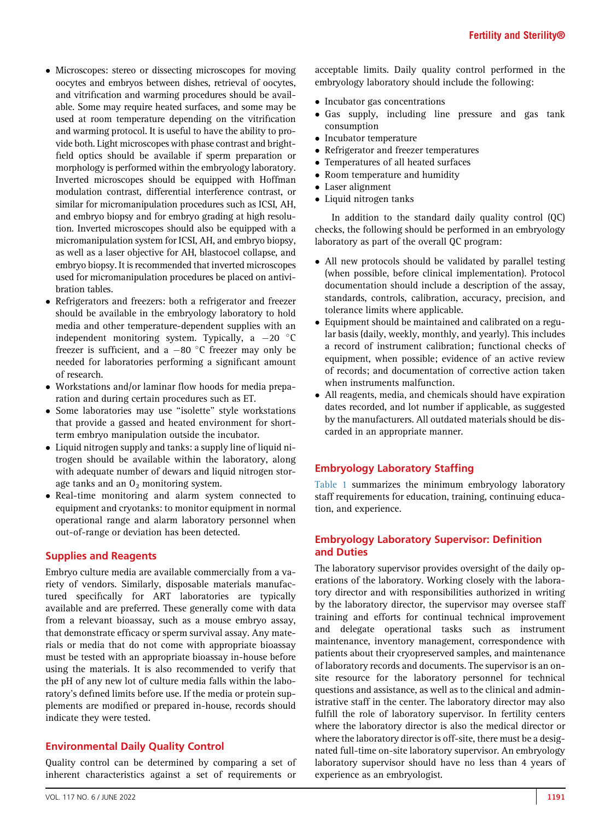- Microscopes: stereo or dissecting microscopes for moving oocytes and embryos between dishes, retrieval of oocytes, and vitrification and warming procedures should be available. Some may require heated surfaces, and some may be used at room temperature depending on the vitrification and warming protocol. It is useful to have the ability to provide both. Light microscopes with phase contrast and brightfield optics should be available if sperm preparation or morphology is performed within the embryology laboratory. Inverted microscopes should be equipped with Hoffman modulation contrast, differential interference contrast, or similar for micromanipulation procedures such as ICSI, AH, and embryo biopsy and for embryo grading at high resolution. Inverted microscopes should also be equipped with a micromanipulation system for ICSI, AH, and embryo biopsy, as well as a laser objective for AH, blastocoel collapse, and embryo biopsy. It is recommended that inverted microscopes used for micromanipulation procedures be placed on antivibration tables.
- Refrigerators and freezers: both a refrigerator and freezer should be available in the embryology laboratory to hold media and other temperature-dependent supplies with an independent monitoring system. Typically, a  $-20$  °C freezer is sufficient, and a  $-80$  °C freezer may only be needed for laboratories performing a significant amount of research.
- Workstations and/or laminar flow hoods for media preparation and during certain procedures such as ET.
- Some laboratories may use ''isolette'' style workstations that provide a gassed and heated environment for shortterm embryo manipulation outside the incubator.
- Liquid nitrogen supply and tanks: a supply line of liquid nitrogen should be available within the laboratory, along with adequate number of dewars and liquid nitrogen storage tanks and an  $O_2$  monitoring system.
- $\bullet$  Real-time monitoring and alarm system connected to equipment and cryotanks: to monitor equipment in normal operational range and alarm laboratory personnel when out-of-range or deviation has been detected.

#### Supplies and Reagents

Embryo culture media are available commercially from a variety of vendors. Similarly, disposable materials manufactured specifically for ART laboratories are typically available and are preferred. These generally come with data from a relevant bioassay, such as a mouse embryo assay, that demonstrate efficacy or sperm survival assay. Any materials or media that do not come with appropriate bioassay must be tested with an appropriate bioassay in-house before using the materials. It is also recommended to verify that the pH of any new lot of culture media falls within the laboratory's defined limits before use. If the media or protein supplements are modified or prepared in-house, records should indicate they were tested.

#### Environmental Daily Quality Control

Quality control can be determined by comparing a set of inherent characteristics against a set of requirements or

VOL. 117 NO. 6 / JUNE 2022 2001 12:00 12:00 12:00 12:00 12:00 12:00 12:00 12:00 12:00 12:00 12:00 12:00 12:00 1

acceptable limits. Daily quality control performed in the embryology laboratory should include the following:

- Incubator gas concentrations
- Gas supply, including line pressure and gas tank consumption
- Incubator temperature
- Refrigerator and freezer temperatures
- Temperatures of all heated surfaces
- Room temperature and humidity
- Laser alignment
- Liquid nitrogen tanks

In addition to the standard daily quality control (QC) checks, the following should be performed in an embryology laboratory as part of the overall QC program:

- All new protocols should be validated by parallel testing (when possible, before clinical implementation). Protocol documentation should include a description of the assay, standards, controls, calibration, accuracy, precision, and tolerance limits where applicable.
- Equipment should be maintained and calibrated on a regular basis (daily, weekly, monthly, and yearly). This includes a record of instrument calibration; functional checks of equipment, when possible; evidence of an active review of records; and documentation of corrective action taken when instruments malfunction.
- All reagents, media, and chemicals should have expiration dates recorded, and lot number if applicable, as suggested by the manufacturers. All outdated materials should be discarded in an appropriate manner.

# Embryology Laboratory Staffing

[Table 1](#page-2-0) summarizes the minimum embryology laboratory staff requirements for education, training, continuing education, and experience.

## Embryology Laboratory Supervisor: Definition and Duties

The laboratory supervisor provides oversight of the daily operations of the laboratory. Working closely with the laboratory director and with responsibilities authorized in writing by the laboratory director, the supervisor may oversee staff training and efforts for continual technical improvement and delegate operational tasks such as instrument maintenance, inventory management, correspondence with patients about their cryopreserved samples, and maintenance of laboratory records and documents. The supervisor is an onsite resource for the laboratory personnel for technical questions and assistance, as well as to the clinical and administrative staff in the center. The laboratory director may also fulfill the role of laboratory supervisor. In fertility centers where the laboratory director is also the medical director or where the laboratory director is off-site, there must be a designated full-time on-site laboratory supervisor. An embryology laboratory supervisor should have no less than 4 years of experience as an embryologist.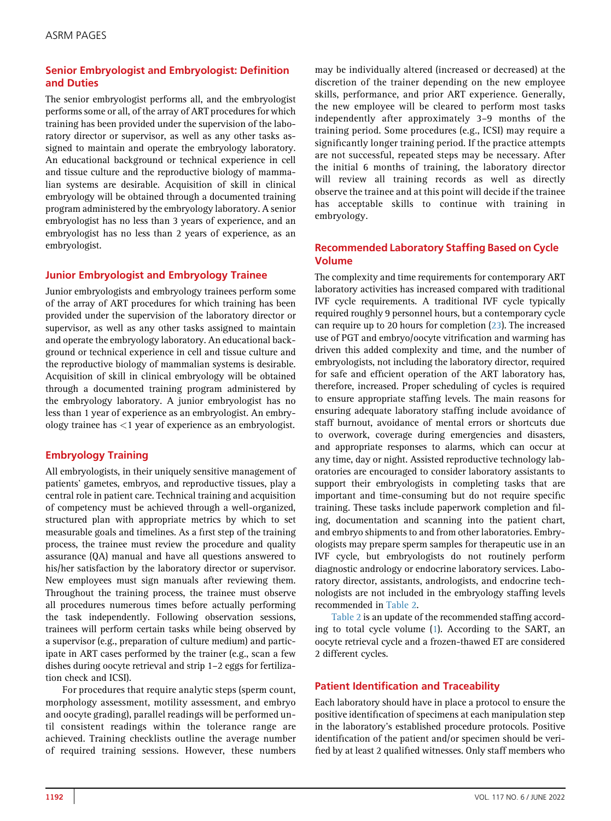# Senior Embryologist and Embryologist: Definition and Duties

The senior embryologist performs all, and the embryologist performs some or all, of the array of ART procedures for which training has been provided under the supervision of the laboratory director or supervisor, as well as any other tasks assigned to maintain and operate the embryology laboratory. An educational background or technical experience in cell and tissue culture and the reproductive biology of mammalian systems are desirable. Acquisition of skill in clinical embryology will be obtained through a documented training program administered by the embryology laboratory. A senior embryologist has no less than 3 years of experience, and an embryologist has no less than 2 years of experience, as an embryologist.

# Junior Embryologist and Embryology Trainee

Junior embryologists and embryology trainees perform some of the array of ART procedures for which training has been provided under the supervision of the laboratory director or supervisor, as well as any other tasks assigned to maintain and operate the embryology laboratory. An educational background or technical experience in cell and tissue culture and the reproductive biology of mammalian systems is desirable. Acquisition of skill in clinical embryology will be obtained through a documented training program administered by the embryology laboratory. A junior embryologist has no less than 1 year of experience as an embryologist. An embryology trainee has <1 year of experience as an embryologist.

# Embryology Training

All embryologists, in their uniquely sensitive management of patients' gametes, embryos, and reproductive tissues, play a central role in patient care. Technical training and acquisition of competency must be achieved through a well-organized, structured plan with appropriate metrics by which to set measurable goals and timelines. As a first step of the training process, the trainee must review the procedure and quality assurance (QA) manual and have all questions answered to his/her satisfaction by the laboratory director or supervisor. New employees must sign manuals after reviewing them. Throughout the training process, the trainee must observe all procedures numerous times before actually performing the task independently. Following observation sessions, trainees will perform certain tasks while being observed by a supervisor (e.g., preparation of culture medium) and participate in ART cases performed by the trainer (e.g., scan a few dishes during oocyte retrieval and strip 1–2 eggs for fertilization check and ICSI).

For procedures that require analytic steps (sperm count, morphology assessment, motility assessment, and embryo and oocyte grading), parallel readings will be performed until consistent readings within the tolerance range are achieved. Training checklists outline the average number of required training sessions. However, these numbers may be individually altered (increased or decreased) at the discretion of the trainer depending on the new employee skills, performance, and prior ART experience. Generally, the new employee will be cleared to perform most tasks independently after approximately 3–9 months of the training period. Some procedures (e.g., ICSI) may require a significantly longer training period. If the practice attempts are not successful, repeated steps may be necessary. After the initial 6 months of training, the laboratory director will review all training records as well as directly observe the trainee and at this point will decide if the trainee has acceptable skills to continue with training in embryology.

# Recommended Laboratory Staffing Based on Cycle Volume

The complexity and time requirements for contemporary ART laboratory activities has increased compared with traditional IVF cycle requirements. A traditional IVF cycle typically required roughly 9 personnel hours, but a contemporary cycle can require up to 20 hours for completion [\(23](#page-17-22)). The increased use of PGT and embryo/oocyte vitrification and warming has driven this added complexity and time, and the number of embryologists, not including the laboratory director, required for safe and efficient operation of the ART laboratory has, therefore, increased. Proper scheduling of cycles is required to ensure appropriate staffing levels. The main reasons for ensuring adequate laboratory staffing include avoidance of staff burnout, avoidance of mental errors or shortcuts due to overwork, coverage during emergencies and disasters, and appropriate responses to alarms, which can occur at any time, day or night. Assisted reproductive technology laboratories are encouraged to consider laboratory assistants to support their embryologists in completing tasks that are important and time-consuming but do not require specific training. These tasks include paperwork completion and filing, documentation and scanning into the patient chart, and embryo shipments to and from other laboratories. Embryologists may prepare sperm samples for therapeutic use in an IVF cycle, but embryologists do not routinely perform diagnostic andrology or endocrine laboratory services. Laboratory director, assistants, andrologists, and endocrine technologists are not included in the embryology staffing levels recommended in [Table 2.](#page-3-0)

[Table 2](#page-3-0) is an update of the recommended staffing according to total cycle volume ([1\)](#page-17-0). According to the SART, an oocyte retrieval cycle and a frozen-thawed ET are considered 2 different cycles.

# Patient Identification and Traceability

Each laboratory should have in place a protocol to ensure the positive identification of specimens at each manipulation step in the laboratory's established procedure protocols. Positive identification of the patient and/or specimen should be verified by at least 2 qualified witnesses. Only staff members who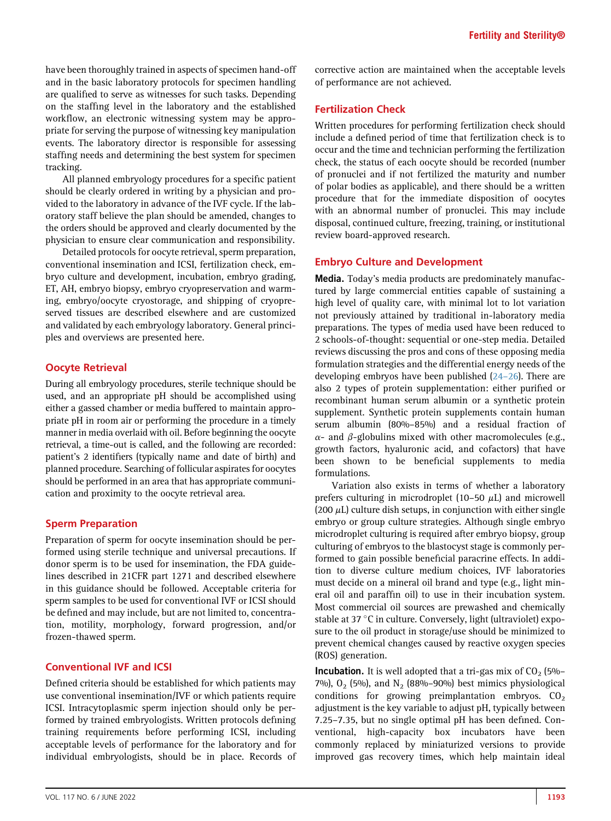have been thoroughly trained in aspects of specimen hand-off and in the basic laboratory protocols for specimen handling are qualified to serve as witnesses for such tasks. Depending on the staffing level in the laboratory and the established workflow, an electronic witnessing system may be appropriate for serving the purpose of witnessing key manipulation events. The laboratory director is responsible for assessing staffing needs and determining the best system for specimen tracking.

All planned embryology procedures for a specific patient should be clearly ordered in writing by a physician and provided to the laboratory in advance of the IVF cycle. If the laboratory staff believe the plan should be amended, changes to the orders should be approved and clearly documented by the physician to ensure clear communication and responsibility.

Detailed protocols for oocyte retrieval, sperm preparation, conventional insemination and ICSI, fertilization check, embryo culture and development, incubation, embryo grading, ET, AH, embryo biopsy, embryo cryopreservation and warming, embryo/oocyte cryostorage, and shipping of cryopreserved tissues are described elsewhere and are customized and validated by each embryology laboratory. General principles and overviews are presented here.

## Oocyte Retrieval

During all embryology procedures, sterile technique should be used, and an appropriate pH should be accomplished using either a gassed chamber or media buffered to maintain appropriate pH in room air or performing the procedure in a timely manner in media overlaid with oil. Before beginning the oocyte retrieval, a time-out is called, and the following are recorded: patient's 2 identifiers (typically name and date of birth) and planned procedure. Searching of follicular aspirates for oocytes should be performed in an area that has appropriate communication and proximity to the oocyte retrieval area.

#### Sperm Preparation

Preparation of sperm for oocyte insemination should be performed using sterile technique and universal precautions. If donor sperm is to be used for insemination, the FDA guidelines described in 21CFR part 1271 and described elsewhere in this guidance should be followed. Acceptable criteria for sperm samples to be used for conventional IVF or ICSI should be defined and may include, but are not limited to, concentration, motility, morphology, forward progression, and/or frozen-thawed sperm.

# Conventional IVF and ICSI

Defined criteria should be established for which patients may use conventional insemination/IVF or which patients require ICSI. Intracytoplasmic sperm injection should only be performed by trained embryologists. Written protocols defining training requirements before performing ICSI, including acceptable levels of performance for the laboratory and for individual embryologists, should be in place. Records of corrective action are maintained when the acceptable levels of performance are not achieved.

# Fertilization Check

Written procedures for performing fertilization check should include a defined period of time that fertilization check is to occur and the time and technician performing the fertilization check, the status of each oocyte should be recorded (number of pronuclei and if not fertilized the maturity and number of polar bodies as applicable), and there should be a written procedure that for the immediate disposition of oocytes with an abnormal number of pronuclei. This may include disposal, continued culture, freezing, training, or institutional review board-approved research.

## Embryo Culture and Development

Media. Today's media products are predominately manufactured by large commercial entities capable of sustaining a high level of quality care, with minimal lot to lot variation not previously attained by traditional in-laboratory media preparations. The types of media used have been reduced to 2 schools-of-thought: sequential or one-step media. Detailed reviews discussing the pros and cons of these opposing media formulation strategies and the differential energy needs of the developing embryos have been published (24–[26\)](#page-17-23). There are also 2 types of protein supplementation: either purified or recombinant human serum albumin or a synthetic protein supplement. Synthetic protein supplements contain human serum albumin (80%–85%) and a residual fraction of  $\alpha$ - and  $\beta$ -globulins mixed with other macromolecules (e.g., growth factors, hyaluronic acid, and cofactors) that have been shown to be beneficial supplements to media formulations.

Variation also exists in terms of whether a laboratory prefers culturing in microdroplet (10-50  $\mu$ L) and microwell (200  $\mu$ L) culture dish setups, in conjunction with either single embryo or group culture strategies. Although single embryo microdroplet culturing is required after embryo biopsy, group culturing of embryos to the blastocyst stage is commonly performed to gain possible beneficial paracrine effects. In addition to diverse culture medium choices, IVF laboratories must decide on a mineral oil brand and type (e.g., light mineral oil and paraffin oil) to use in their incubation system. Most commercial oil sources are prewashed and chemically stable at 37 °C in culture. Conversely, light (ultraviolet) exposure to the oil product in storage/use should be minimized to prevent chemical changes caused by reactive oxygen species (ROS) generation.

**Incubation.** It is well adopted that a tri-gas mix of  $CO<sub>2</sub>$  (5%– 7%),  $O_2$  (5%), and  $N_2$  (88%–90%) best mimics physiological conditions for growing preimplantation embryos.  $CO<sub>2</sub>$ adjustment is the key variable to adjust pH, typically between 7.25–7.35, but no single optimal pH has been defined. Conventional, high-capacity box incubators have been commonly replaced by miniaturized versions to provide improved gas recovery times, which help maintain ideal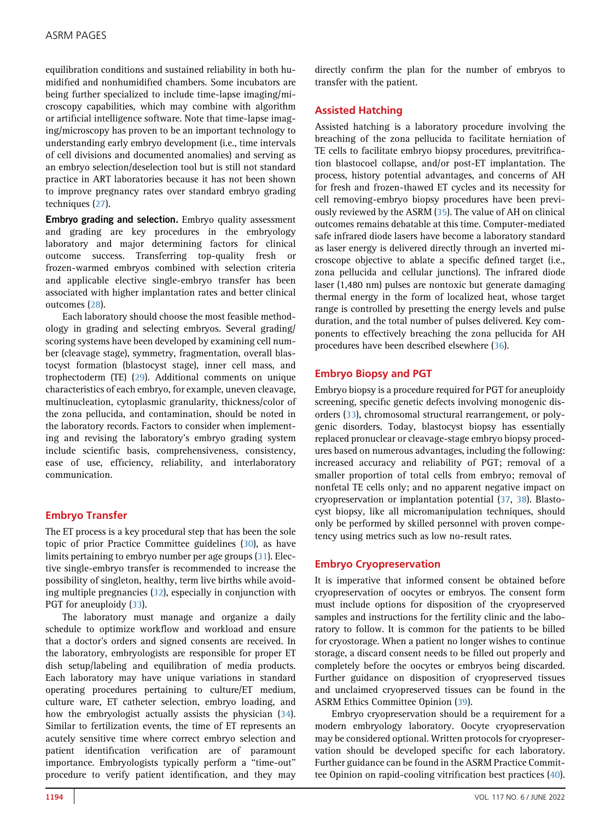equilibration conditions and sustained reliability in both humidified and nonhumidified chambers. Some incubators are being further specialized to include time-lapse imaging/microscopy capabilities, which may combine with algorithm or artificial intelligence software. Note that time-lapse imaging/microscopy has proven to be an important technology to understanding early embryo development (i.e., time intervals of cell divisions and documented anomalies) and serving as an embryo selection/deselection tool but is still not standard practice in ART laboratories because it has not been shown to improve pregnancy rates over standard embryo grading techniques ([27](#page-17-24)).

Embryo grading and selection. Embryo quality assessment and grading are key procedures in the embryology laboratory and major determining factors for clinical outcome success. Transferring top-quality fresh or frozen-warmed embryos combined with selection criteria and applicable elective single-embryo transfer has been associated with higher implantation rates and better clinical outcomes [\(28\)](#page-17-25).

Each laboratory should choose the most feasible methodology in grading and selecting embryos. Several grading/ scoring systems have been developed by examining cell number (cleavage stage), symmetry, fragmentation, overall blastocyst formation (blastocyst stage), inner cell mass, and trophectoderm (TE) ([29\)](#page-17-26). Additional comments on unique characteristics of each embryo, for example, uneven cleavage, multinucleation, cytoplasmic granularity, thickness/color of the zona pellucida, and contamination, should be noted in the laboratory records. Factors to consider when implementing and revising the laboratory's embryo grading system include scientific basis, comprehensiveness, consistency, ease of use, efficiency, reliability, and interlaboratory communication.

# Embryo Transfer

The ET process is a key procedural step that has been the sole topic of prior Practice Committee guidelines [\(30](#page-17-27)), as have limits pertaining to embryo number per age groups ([31](#page-17-28)). Elective single-embryo transfer is recommended to increase the possibility of singleton, healthy, term live births while avoiding multiple pregnancies [\(32](#page-17-29)), especially in conjunction with PGT for aneuploidy [\(33](#page-17-30)).

The laboratory must manage and organize a daily schedule to optimize workflow and workload and ensure that a doctor's orders and signed consents are received. In the laboratory, embryologists are responsible for proper ET dish setup/labeling and equilibration of media products. Each laboratory may have unique variations in standard operating procedures pertaining to culture/ET medium, culture ware, ET catheter selection, embryo loading, and how the embryologist actually assists the physician ([34](#page-17-31)). Similar to fertilization events, the time of ET represents an acutely sensitive time where correct embryo selection and patient identification verification are of paramount importance. Embryologists typically perform a ''time-out'' procedure to verify patient identification, and they may

directly confirm the plan for the number of embryos to transfer with the patient.

# Assisted Hatching

Assisted hatching is a laboratory procedure involving the breaching of the zona pellucida to facilitate herniation of TE cells to facilitate embryo biopsy procedures, previtrification blastocoel collapse, and/or post-ET implantation. The process, history potential advantages, and concerns of AH for fresh and frozen-thawed ET cycles and its necessity for cell removing-embryo biopsy procedures have been previously reviewed by the ASRM [\(35\)](#page-17-32). The value of AH on clinical outcomes remains debatable at this time. Computer-mediated safe infrared diode lasers have become a laboratory standard as laser energy is delivered directly through an inverted microscope objective to ablate a specific defined target (i.e., zona pellucida and cellular junctions). The infrared diode laser (1,480 nm) pulses are nontoxic but generate damaging thermal energy in the form of localized heat, whose target range is controlled by presetting the energy levels and pulse duration, and the total number of pulses delivered. Key components to effectively breaching the zona pellucida for AH procedures have been described elsewhere ([36\)](#page-17-33).

## Embryo Biopsy and PGT

Embryo biopsy is a procedure required for PGT for aneuploidy screening, specific genetic defects involving monogenic disorders [\(33\)](#page-17-30), chromosomal structural rearrangement, or polygenic disorders. Today, blastocyst biopsy has essentially replaced pronuclear or cleavage-stage embryo biopsy procedures based on numerous advantages, including the following: increased accuracy and reliability of PGT; removal of a smaller proportion of total cells from embryo; removal of nonfetal TE cells only; and no apparent negative impact on cryopreservation or implantation potential ([37](#page-18-0), [38\)](#page-18-1). Blastocyst biopsy, like all micromanipulation techniques, should only be performed by skilled personnel with proven competency using metrics such as low no-result rates.

#### Embryo Cryopreservation

It is imperative that informed consent be obtained before cryopreservation of oocytes or embryos. The consent form must include options for disposition of the cryopreserved samples and instructions for the fertility clinic and the laboratory to follow. It is common for the patients to be billed for cryostorage. When a patient no longer wishes to continue storage, a discard consent needs to be filled out properly and completely before the oocytes or embryos being discarded. Further guidance on disposition of cryopreserved tissues and unclaimed cryopreserved tissues can be found in the ASRM Ethics Committee Opinion [\(39](#page-18-2)).

Embryo cryopreservation should be a requirement for a modern embryology laboratory. Oocyte cryopreservation may be considered optional. Written protocols for cryopreservation should be developed specific for each laboratory. Further guidance can be found in the ASRM Practice Committee Opinion on rapid-cooling vitrification best practices ([40](#page-18-3)).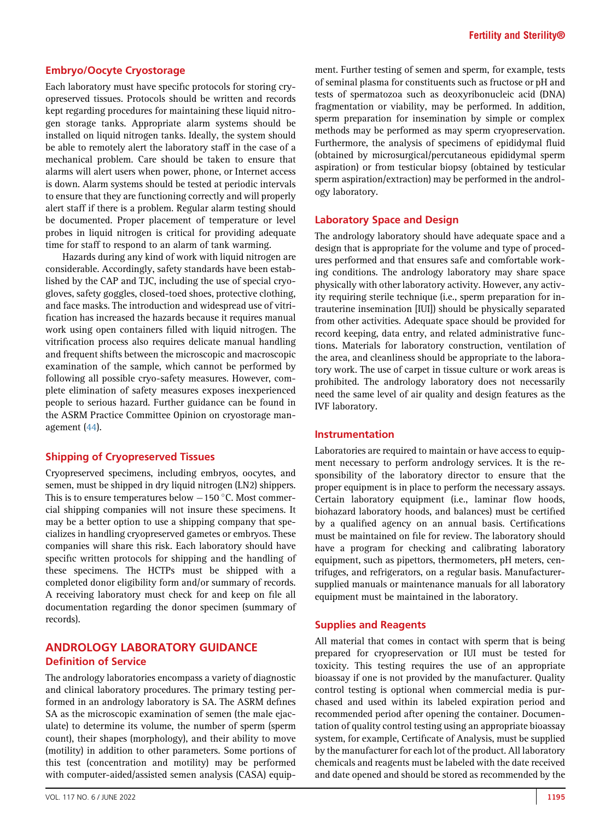#### Embryo/Oocyte Cryostorage

Each laboratory must have specific protocols for storing cryopreserved tissues. Protocols should be written and records kept regarding procedures for maintaining these liquid nitrogen storage tanks. Appropriate alarm systems should be installed on liquid nitrogen tanks. Ideally, the system should be able to remotely alert the laboratory staff in the case of a mechanical problem. Care should be taken to ensure that alarms will alert users when power, phone, or Internet access is down. Alarm systems should be tested at periodic intervals to ensure that they are functioning correctly and will properly alert staff if there is a problem. Regular alarm testing should be documented. Proper placement of temperature or level probes in liquid nitrogen is critical for providing adequate time for staff to respond to an alarm of tank warming.

Hazards during any kind of work with liquid nitrogen are considerable. Accordingly, safety standards have been established by the CAP and TJC, including the use of special cryogloves, safety goggles, closed-toed shoes, protective clothing, and face masks. The introduction and widespread use of vitrification has increased the hazards because it requires manual work using open containers filled with liquid nitrogen. The vitrification process also requires delicate manual handling and frequent shifts between the microscopic and macroscopic examination of the sample, which cannot be performed by following all possible cryo-safety measures. However, complete elimination of safety measures exposes inexperienced people to serious hazard. Further guidance can be found in the ASRM Practice Committee Opinion on cryostorage management [\(44](#page-18-4)).

#### Shipping of Cryopreserved Tissues

Cryopreserved specimens, including embryos, oocytes, and semen, must be shipped in dry liquid nitrogen (LN2) shippers. This is to ensure temperatures below  $-150$  °C. Most commercial shipping companies will not insure these specimens. It may be a better option to use a shipping company that specializes in handling cryopreserved gametes or embryos. These companies will share this risk. Each laboratory should have specific written protocols for shipping and the handling of these specimens. The HCTPs must be shipped with a completed donor eligibility form and/or summary of records. A receiving laboratory must check for and keep on file all documentation regarding the donor specimen (summary of records).

# ANDROLOGY LABORATORY GUIDANCE Definition of Service

The andrology laboratories encompass a variety of diagnostic and clinical laboratory procedures. The primary testing performed in an andrology laboratory is SA. The ASRM defines SA as the microscopic examination of semen (the male ejaculate) to determine its volume, the number of sperm (sperm count), their shapes (morphology), and their ability to move (motility) in addition to other parameters. Some portions of this test (concentration and motility) may be performed with computer-aided/assisted semen analysis (CASA) equipment. Further testing of semen and sperm, for example, tests of seminal plasma for constituents such as fructose or pH and tests of spermatozoa such as deoxyribonucleic acid (DNA) fragmentation or viability, may be performed. In addition, sperm preparation for insemination by simple or complex methods may be performed as may sperm cryopreservation. Furthermore, the analysis of specimens of epididymal fluid (obtained by microsurgical/percutaneous epididymal sperm aspiration) or from testicular biopsy (obtained by testicular sperm aspiration/extraction) may be performed in the andrology laboratory.

#### Laboratory Space and Design

The andrology laboratory should have adequate space and a design that is appropriate for the volume and type of procedures performed and that ensures safe and comfortable working conditions. The andrology laboratory may share space physically with other laboratory activity. However, any activity requiring sterile technique (i.e., sperm preparation for intrauterine insemination [IUI]) should be physically separated from other activities. Adequate space should be provided for record keeping, data entry, and related administrative functions. Materials for laboratory construction, ventilation of the area, and cleanliness should be appropriate to the laboratory work. The use of carpet in tissue culture or work areas is prohibited. The andrology laboratory does not necessarily need the same level of air quality and design features as the IVF laboratory.

#### Instrumentation

Laboratories are required to maintain or have access to equipment necessary to perform andrology services. It is the responsibility of the laboratory director to ensure that the proper equipment is in place to perform the necessary assays. Certain laboratory equipment (i.e., laminar flow hoods, biohazard laboratory hoods, and balances) must be certified by a qualified agency on an annual basis. Certifications must be maintained on file for review. The laboratory should have a program for checking and calibrating laboratory equipment, such as pipettors, thermometers, pH meters, centrifuges, and refrigerators, on a regular basis. Manufacturersupplied manuals or maintenance manuals for all laboratory equipment must be maintained in the laboratory.

#### Supplies and Reagents

All material that comes in contact with sperm that is being prepared for cryopreservation or IUI must be tested for toxicity. This testing requires the use of an appropriate bioassay if one is not provided by the manufacturer. Quality control testing is optional when commercial media is purchased and used within its labeled expiration period and recommended period after opening the container. Documentation of quality control testing using an appropriate bioassay system, for example, Certificate of Analysis, must be supplied by the manufacturer for each lot of the product. All laboratory chemicals and reagents must be labeled with the date received and date opened and should be stored as recommended by the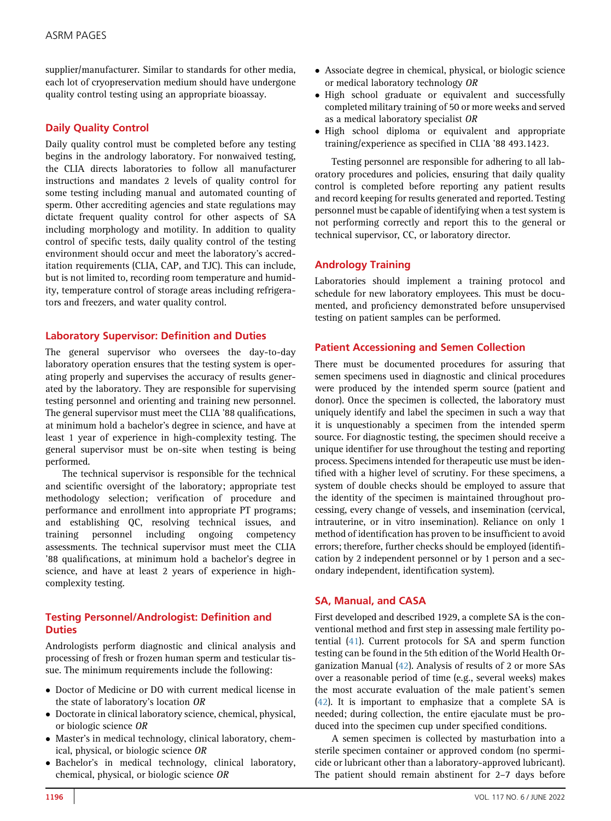supplier/manufacturer. Similar to standards for other media, each lot of cryopreservation medium should have undergone quality control testing using an appropriate bioassay.

# Daily Quality Control

Daily quality control must be completed before any testing begins in the andrology laboratory. For nonwaived testing, the CLIA directs laboratories to follow all manufacturer instructions and mandates 2 levels of quality control for some testing including manual and automated counting of sperm. Other accrediting agencies and state regulations may dictate frequent quality control for other aspects of SA including morphology and motility. In addition to quality control of specific tests, daily quality control of the testing environment should occur and meet the laboratory's accreditation requirements (CLIA, CAP, and TJC). This can include, but is not limited to, recording room temperature and humidity, temperature control of storage areas including refrigerators and freezers, and water quality control.

# Laboratory Supervisor: Definition and Duties

The general supervisor who oversees the day-to-day laboratory operation ensures that the testing system is operating properly and supervises the accuracy of results generated by the laboratory. They are responsible for supervising testing personnel and orienting and training new personnel. The general supervisor must meet the CLIA '88 qualifications, at minimum hold a bachelor's degree in science, and have at least 1 year of experience in high-complexity testing. The general supervisor must be on-site when testing is being performed.

The technical supervisor is responsible for the technical and scientific oversight of the laboratory; appropriate test methodology selection; verification of procedure and performance and enrollment into appropriate PT programs; and establishing QC, resolving technical issues, and training personnel including ongoing competency assessments. The technical supervisor must meet the CLIA '88 qualifications, at minimum hold a bachelor's degree in science, and have at least 2 years of experience in highcomplexity testing.

# Testing Personnel/Andrologist: Definition and **Duties**

Andrologists perform diagnostic and clinical analysis and processing of fresh or frozen human sperm and testicular tissue. The minimum requirements include the following:

- Doctor of Medicine or DO with current medical license in the state of laboratory's location OR
- Doctorate in clinical laboratory science, chemical, physical, or biologic science OR
- Master's in medical technology, clinical laboratory, chemical, physical, or biologic science OR
- $\bullet$  Bachelor's in medical technology, clinical laboratory, chemical, physical, or biologic science OR
- Associate degree in chemical, physical, or biologic science or medical laboratory technology OR
- High school graduate or equivalent and successfully completed military training of 50 or more weeks and served as a medical laboratory specialist OR
- High school diploma or equivalent and appropriate training/experience as specified in CLIA '88 493.1423.

Testing personnel are responsible for adhering to all laboratory procedures and policies, ensuring that daily quality control is completed before reporting any patient results and record keeping for results generated and reported. Testing personnel must be capable of identifying when a test system is not performing correctly and report this to the general or technical supervisor, CC, or laboratory director.

## Andrology Training

Laboratories should implement a training protocol and schedule for new laboratory employees. This must be documented, and proficiency demonstrated before unsupervised testing on patient samples can be performed.

#### Patient Accessioning and Semen Collection

There must be documented procedures for assuring that semen specimens used in diagnostic and clinical procedures were produced by the intended sperm source (patient and donor). Once the specimen is collected, the laboratory must uniquely identify and label the specimen in such a way that it is unquestionably a specimen from the intended sperm source. For diagnostic testing, the specimen should receive a unique identifier for use throughout the testing and reporting process. Specimens intended for therapeutic use must be identified with a higher level of scrutiny. For these specimens, a system of double checks should be employed to assure that the identity of the specimen is maintained throughout processing, every change of vessels, and insemination (cervical, intrauterine, or in vitro insemination). Reliance on only 1 method of identification has proven to be insufficient to avoid errors; therefore, further checks should be employed (identification by 2 independent personnel or by 1 person and a secondary independent, identification system).

# SA, Manual, and CASA

First developed and described 1929, a complete SA is the conventional method and first step in assessing male fertility potential ([41\)](#page-18-5). Current protocols for SA and sperm function testing can be found in the 5th edition of the World Health Organization Manual ([42](#page-18-6)). Analysis of results of 2 or more SAs over a reasonable period of time (e.g., several weeks) makes the most accurate evaluation of the male patient's semen ([42](#page-18-6)). It is important to emphasize that a complete SA is needed; during collection, the entire ejaculate must be produced into the specimen cup under specified conditions.

A semen specimen is collected by masturbation into a sterile specimen container or approved condom (no spermicide or lubricant other than a laboratory-approved lubricant). The patient should remain abstinent for 2–7 days before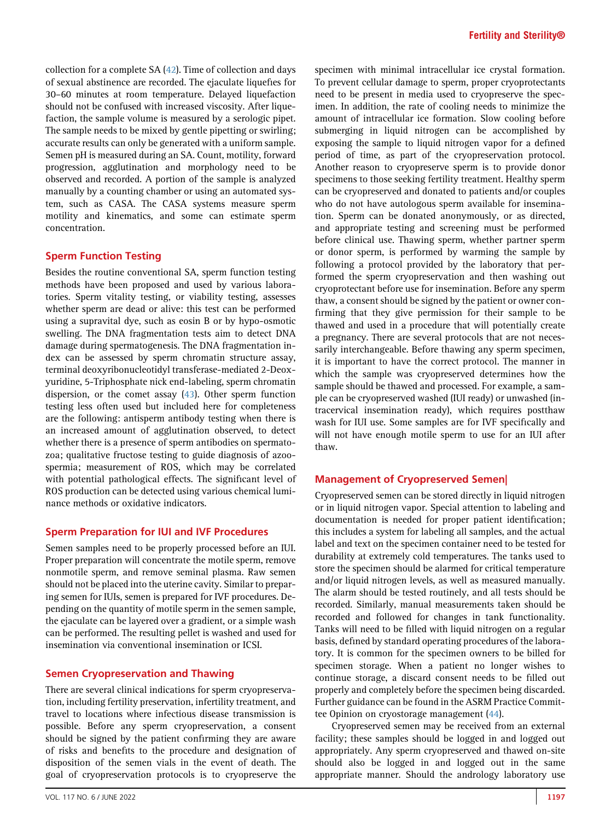collection for a complete SA  $(42)$  $(42)$ . Time of collection and days of sexual abstinence are recorded. The ejaculate liquefies for 30–60 minutes at room temperature. Delayed liquefaction should not be confused with increased viscosity. After liquefaction, the sample volume is measured by a serologic pipet. The sample needs to be mixed by gentle pipetting or swirling; accurate results can only be generated with a uniform sample. Semen pH is measured during an SA. Count, motility, forward progression, agglutination and morphology need to be observed and recorded. A portion of the sample is analyzed manually by a counting chamber or using an automated system, such as CASA. The CASA systems measure sperm motility and kinematics, and some can estimate sperm concentration.

#### Sperm Function Testing

Besides the routine conventional SA, sperm function testing methods have been proposed and used by various laboratories. Sperm vitality testing, or viability testing, assesses whether sperm are dead or alive: this test can be performed using a supravital dye, such as eosin B or by hypo-osmotic swelling. The DNA fragmentation tests aim to detect DNA damage during spermatogenesis. The DNA fragmentation index can be assessed by sperm chromatin structure assay, terminal deoxyribonucleotidyl transferase-mediated 2-Deoxyuridine, 5-Triphosphate nick end-labeling, sperm chromatin dispersion, or the comet assay ([43](#page-18-7)). Other sperm function testing less often used but included here for completeness are the following: antisperm antibody testing when there is an increased amount of agglutination observed, to detect whether there is a presence of sperm antibodies on spermatozoa; qualitative fructose testing to guide diagnosis of azoospermia; measurement of ROS, which may be correlated with potential pathological effects. The significant level of ROS production can be detected using various chemical luminance methods or oxidative indicators.

#### Sperm Preparation for IUI and IVF Procedures

Semen samples need to be properly processed before an IUI. Proper preparation will concentrate the motile sperm, remove nonmotile sperm, and remove seminal plasma. Raw semen should not be placed into the uterine cavity. Similar to preparing semen for IUIs, semen is prepared for IVF procedures. Depending on the quantity of motile sperm in the semen sample, the ejaculate can be layered over a gradient, or a simple wash can be performed. The resulting pellet is washed and used for insemination via conventional insemination or ICSI.

# Semen Cryopreservation and Thawing

There are several clinical indications for sperm cryopreservation, including fertility preservation, infertility treatment, and travel to locations where infectious disease transmission is possible. Before any sperm cryopreservation, a consent should be signed by the patient confirming they are aware of risks and benefits to the procedure and designation of disposition of the semen vials in the event of death. The goal of cryopreservation protocols is to cryopreserve the

specimen with minimal intracellular ice crystal formation. To prevent cellular damage to sperm, proper cryoprotectants need to be present in media used to cryopreserve the specimen. In addition, the rate of cooling needs to minimize the amount of intracellular ice formation. Slow cooling before submerging in liquid nitrogen can be accomplished by exposing the sample to liquid nitrogen vapor for a defined period of time, as part of the cryopreservation protocol. Another reason to cryopreserve sperm is to provide donor specimens to those seeking fertility treatment. Healthy sperm can be cryopreserved and donated to patients and/or couples who do not have autologous sperm available for insemination. Sperm can be donated anonymously, or as directed, and appropriate testing and screening must be performed before clinical use. Thawing sperm, whether partner sperm or donor sperm, is performed by warming the sample by following a protocol provided by the laboratory that performed the sperm cryopreservation and then washing out cryoprotectant before use for insemination. Before any sperm thaw, a consent should be signed by the patient or owner confirming that they give permission for their sample to be thawed and used in a procedure that will potentially create a pregnancy. There are several protocols that are not necessarily interchangeable. Before thawing any sperm specimen, it is important to have the correct protocol. The manner in which the sample was cryopreserved determines how the sample should be thawed and processed. For example, a sample can be cryopreserved washed (IUI ready) or unwashed (intracervical insemination ready), which requires postthaw wash for IUI use. Some samples are for IVF specifically and will not have enough motile sperm to use for an IUI after thaw.

#### Management of Cryopreserved Semen|

Cryopreserved semen can be stored directly in liquid nitrogen or in liquid nitrogen vapor. Special attention to labeling and documentation is needed for proper patient identification; this includes a system for labeling all samples, and the actual label and text on the specimen container need to be tested for durability at extremely cold temperatures. The tanks used to store the specimen should be alarmed for critical temperature and/or liquid nitrogen levels, as well as measured manually. The alarm should be tested routinely, and all tests should be recorded. Similarly, manual measurements taken should be recorded and followed for changes in tank functionality. Tanks will need to be filled with liquid nitrogen on a regular basis, defined by standard operating procedures of the laboratory. It is common for the specimen owners to be billed for specimen storage. When a patient no longer wishes to continue storage, a discard consent needs to be filled out properly and completely before the specimen being discarded. Further guidance can be found in the ASRM Practice Committee Opinion on cryostorage management ([44\)](#page-18-4).

Cryopreserved semen may be received from an external facility; these samples should be logged in and logged out appropriately. Any sperm cryopreserved and thawed on-site should also be logged in and logged out in the same appropriate manner. Should the andrology laboratory use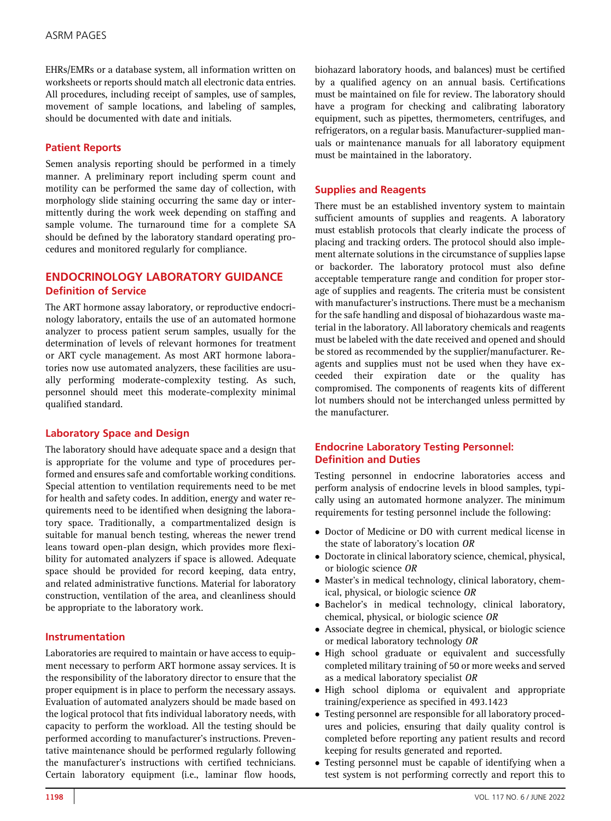EHRs/EMRs or a database system, all information written on worksheets or reports should match all electronic data entries. All procedures, including receipt of samples, use of samples, movement of sample locations, and labeling of samples, should be documented with date and initials.

## Patient Reports

Semen analysis reporting should be performed in a timely manner. A preliminary report including sperm count and motility can be performed the same day of collection, with morphology slide staining occurring the same day or intermittently during the work week depending on staffing and sample volume. The turnaround time for a complete SA should be defined by the laboratory standard operating procedures and monitored regularly for compliance.

# ENDOCRINOLOGY LABORATORY GUIDANCE Definition of Service

The ART hormone assay laboratory, or reproductive endocrinology laboratory, entails the use of an automated hormone analyzer to process patient serum samples, usually for the determination of levels of relevant hormones for treatment or ART cycle management. As most ART hormone laboratories now use automated analyzers, these facilities are usually performing moderate-complexity testing. As such, personnel should meet this moderate-complexity minimal qualified standard.

#### Laboratory Space and Design

The laboratory should have adequate space and a design that is appropriate for the volume and type of procedures performed and ensures safe and comfortable working conditions. Special attention to ventilation requirements need to be met for health and safety codes. In addition, energy and water requirements need to be identified when designing the laboratory space. Traditionally, a compartmentalized design is suitable for manual bench testing, whereas the newer trend leans toward open-plan design, which provides more flexibility for automated analyzers if space is allowed. Adequate space should be provided for record keeping, data entry, and related administrative functions. Material for laboratory construction, ventilation of the area, and cleanliness should be appropriate to the laboratory work.

#### Instrumentation

Laboratories are required to maintain or have access to equipment necessary to perform ART hormone assay services. It is the responsibility of the laboratory director to ensure that the proper equipment is in place to perform the necessary assays. Evaluation of automated analyzers should be made based on the logical protocol that fits individual laboratory needs, with capacity to perform the workload. All the testing should be performed according to manufacturer's instructions. Preventative maintenance should be performed regularly following the manufacturer's instructions with certified technicians. Certain laboratory equipment (i.e., laminar flow hoods,

biohazard laboratory hoods, and balances) must be certified by a qualified agency on an annual basis. Certifications must be maintained on file for review. The laboratory should have a program for checking and calibrating laboratory equipment, such as pipettes, thermometers, centrifuges, and refrigerators, on a regular basis. Manufacturer-supplied manuals or maintenance manuals for all laboratory equipment must be maintained in the laboratory.

## Supplies and Reagents

There must be an established inventory system to maintain sufficient amounts of supplies and reagents. A laboratory must establish protocols that clearly indicate the process of placing and tracking orders. The protocol should also implement alternate solutions in the circumstance of supplies lapse or backorder. The laboratory protocol must also define acceptable temperature range and condition for proper storage of supplies and reagents. The criteria must be consistent with manufacturer's instructions. There must be a mechanism for the safe handling and disposal of biohazardous waste material in the laboratory. All laboratory chemicals and reagents must be labeled with the date received and opened and should be stored as recommended by the supplier/manufacturer. Reagents and supplies must not be used when they have exceeded their expiration date or the quality has compromised. The components of reagents kits of different lot numbers should not be interchanged unless permitted by the manufacturer.

## Endocrine Laboratory Testing Personnel: Definition and Duties

Testing personnel in endocrine laboratories access and perform analysis of endocrine levels in blood samples, typically using an automated hormone analyzer. The minimum requirements for testing personnel include the following:

- Doctor of Medicine or DO with current medical license in the state of laboratory's location OR
- Doctorate in clinical laboratory science, chemical, physical, or biologic science OR
- - Master's in medical technology, clinical laboratory, chemical, physical, or biologic science OR
- Bachelor's in medical technology, clinical laboratory, chemical, physical, or biologic science OR
- Associate degree in chemical, physical, or biologic science or medical laboratory technology OR
- High school graduate or equivalent and successfully completed military training of 50 or more weeks and served as a medical laboratory specialist OR
- High school diploma or equivalent and appropriate training/experience as specified in 493.1423
- Testing personnel are responsible for all laboratory procedures and policies, ensuring that daily quality control is completed before reporting any patient results and record keeping for results generated and reported.
- Testing personnel must be capable of identifying when a test system is not performing correctly and report this to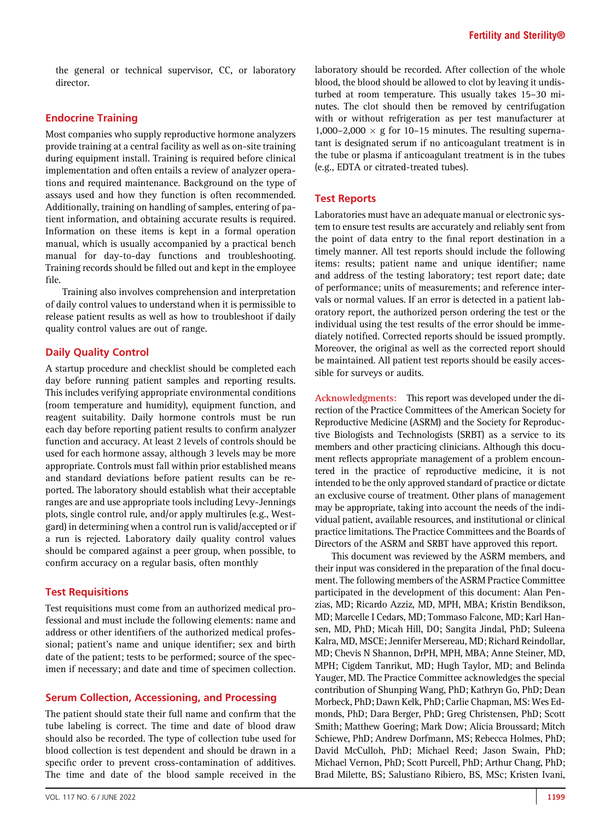the general or technical supervisor, CC, or laboratory director.

#### Endocrine Training

Most companies who supply reproductive hormone analyzers provide training at a central facility as well as on-site training during equipment install. Training is required before clinical implementation and often entails a review of analyzer operations and required maintenance. Background on the type of assays used and how they function is often recommended. Additionally, training on handling of samples, entering of patient information, and obtaining accurate results is required. Information on these items is kept in a formal operation manual, which is usually accompanied by a practical bench manual for day-to-day functions and troubleshooting. Training records should be filled out and kept in the employee file.

Training also involves comprehension and interpretation of daily control values to understand when it is permissible to release patient results as well as how to troubleshoot if daily quality control values are out of range.

## Daily Quality Control

A startup procedure and checklist should be completed each day before running patient samples and reporting results. This includes verifying appropriate environmental conditions (room temperature and humidity), equipment function, and reagent suitability. Daily hormone controls must be run each day before reporting patient results to confirm analyzer function and accuracy. At least 2 levels of controls should be used for each hormone assay, although 3 levels may be more appropriate. Controls must fall within prior established means and standard deviations before patient results can be reported. The laboratory should establish what their acceptable ranges are and use appropriate tools including Levy-Jennings plots, single control rule, and/or apply multirules (e.g., Westgard) in determining when a control run is valid/accepted or if a run is rejected. Laboratory daily quality control values should be compared against a peer group, when possible, to confirm accuracy on a regular basis, often monthly

#### Test Requisitions

Test requisitions must come from an authorized medical professional and must include the following elements: name and address or other identifiers of the authorized medical professional; patient's name and unique identifier; sex and birth date of the patient; tests to be performed; source of the specimen if necessary; and date and time of specimen collection.

#### Serum Collection, Accessioning, and Processing

The patient should state their full name and confirm that the tube labeling is correct. The time and date of blood draw should also be recorded. The type of collection tube used for blood collection is test dependent and should be drawn in a specific order to prevent cross-contamination of additives. The time and date of the blood sample received in the

laboratory should be recorded. After collection of the whole blood, the blood should be allowed to clot by leaving it undisturbed at room temperature. This usually takes 15–30 minutes. The clot should then be removed by centrifugation with or without refrigeration as per test manufacturer at 1,000–2,000  $\times$  g for 10–15 minutes. The resulting supernatant is designated serum if no anticoagulant treatment is in the tube or plasma if anticoagulant treatment is in the tubes (e.g., EDTA or citrated-treated tubes).

#### Test Reports

Laboratories must have an adequate manual or electronic system to ensure test results are accurately and reliably sent from the point of data entry to the final report destination in a timely manner. All test reports should include the following items: results; patient name and unique identifier; name and address of the testing laboratory; test report date; date of performance; units of measurements; and reference intervals or normal values. If an error is detected in a patient laboratory report, the authorized person ordering the test or the individual using the test results of the error should be immediately notified. Corrected reports should be issued promptly. Moreover, the original as well as the corrected report should be maintained. All patient test reports should be easily accessible for surveys or audits.

Acknowledgments: This report was developed under the direction of the Practice Committees of the American Society for Reproductive Medicine (ASRM) and the Society for Reproductive Biologists and Technologists (SRBT) as a service to its members and other practicing clinicians. Although this document reflects appropriate management of a problem encountered in the practice of reproductive medicine, it is not intended to be the only approved standard of practice or dictate an exclusive course of treatment. Other plans of management may be appropriate, taking into account the needs of the individual patient, available resources, and institutional or clinical practice limitations. The Practice Committees and the Boards of Directors of the ASRM and SRBT have approved this report.

This document was reviewed by the ASRM members, and their input was considered in the preparation of the final document. The following members of the ASRM Practice Committee participated in the development of this document: Alan Penzias, MD; Ricardo Azziz, MD, MPH, MBA; Kristin Bendikson, MD; Marcelle I Cedars, MD; Tommaso Falcone, MD; Karl Hansen, MD, PhD; Micah Hill, DO; Sangita Jindal, PhD; Suleena Kalra, MD, MSCE; Jennifer Mersereau, MD; Richard Reindollar, MD; Chevis N Shannon, DrPH, MPH, MBA; Anne Steiner, MD, MPH; Cigdem Tanrikut, MD; Hugh Taylor, MD; and Belinda Yauger, MD. The Practice Committee acknowledges the special contribution of Shunping Wang, PhD; Kathryn Go, PhD; Dean Morbeck, PhD; Dawn Kelk, PhD; Carlie Chapman, MS: Wes Edmonds, PhD; Dara Berger, PhD; Greg Christensen, PhD; Scott Smith; Matthew Goering; Mark Dow; Alicia Broussard; Mitch Schiewe, PhD; Andrew Dorfmann, MS; Rebecca Holmes, PhD; David McCulloh, PhD; Michael Reed; Jason Swain, PhD; Michael Vernon, PhD; Scott Purcell, PhD; Arthur Chang, PhD; Brad Milette, BS; Salustiano Ribiero, BS, MSc; Kristen Ivani,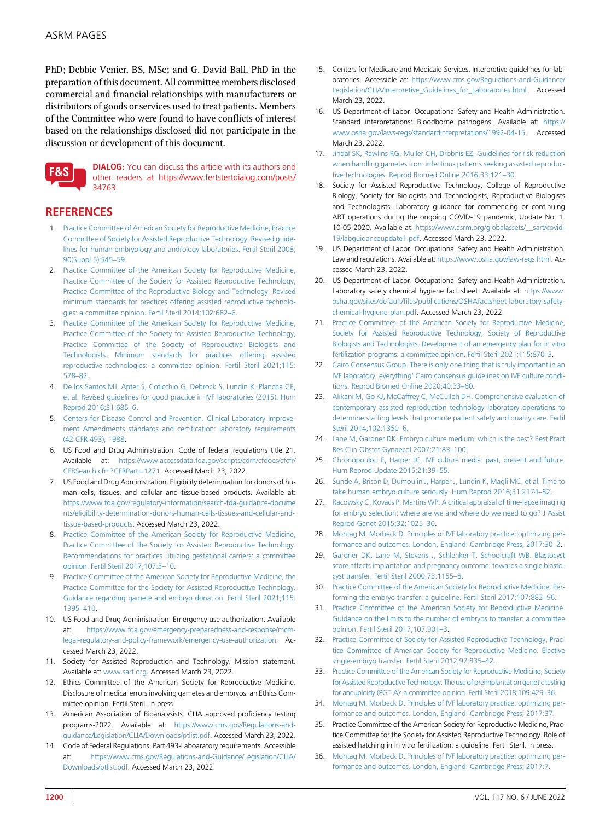PhD; Debbie Venier, BS, MSc; and G. David Ball, PhD in the preparation of this document. All committee members disclosed commercial and financial relationships with manufacturers or distributors of goods or services used to treat patients. Members of the Committee who were found to have conflicts of interest based on the relationships disclosed did not participate in the discussion or development of this document.



DIALOG: You can discuss this article with its authors and other readers at [https://www.fertstertdialog.com/posts/](https://www.fertstertdialog.com/posts/34763) [34763](https://www.fertstertdialog.com/posts/34763)

# <span id="page-17-0"></span>**REFERENCES**

- 1. [Practice Committee of American Society for Reproductive Medicine, Practice](http://refhub.elsevier.com/S0015-0282(22)00131-5/sref1) [Committee of Society for Assisted Reproductive Technology. Revised guide](http://refhub.elsevier.com/S0015-0282(22)00131-5/sref1)[lines for human embryology and andrology laboratories. Fertil Steril 2008;](http://refhub.elsevier.com/S0015-0282(22)00131-5/sref1) [90\(Suppl 5\):S45](http://refhub.elsevier.com/S0015-0282(22)00131-5/sref1)–59.
- <span id="page-17-1"></span>2. [Practice Committee of the American Society for Reproductive Medicine,](http://refhub.elsevier.com/S0015-0282(22)00131-5/sref2) [Practice Committee of the Society for Assisted Reproductive Technology,](http://refhub.elsevier.com/S0015-0282(22)00131-5/sref2) [Practice Committee of the Reproductive Biology and Technology. Revised](http://refhub.elsevier.com/S0015-0282(22)00131-5/sref2) [minimum standards for practices offering assisted reproductive technolo](http://refhub.elsevier.com/S0015-0282(22)00131-5/sref2)[gies: a committee opinion. Fertil Steril 2014;102:682](http://refhub.elsevier.com/S0015-0282(22)00131-5/sref2)–6.
- <span id="page-17-2"></span>3. [Practice Committee of the American Society for Reproductive Medicine,](http://refhub.elsevier.com/S0015-0282(22)00131-5/sref3) [Practice Committee of the Society for Assisted Reproductive Technology,](http://refhub.elsevier.com/S0015-0282(22)00131-5/sref3) [Practice Committee of the Society of Reproductive Biologists and](http://refhub.elsevier.com/S0015-0282(22)00131-5/sref3) [Technologists. Minimum standards for practices offering assisted](http://refhub.elsevier.com/S0015-0282(22)00131-5/sref3) [reproductive technologies: a committee opinion. Fertil Steril 2021;115:](http://refhub.elsevier.com/S0015-0282(22)00131-5/sref3) [578](http://refhub.elsevier.com/S0015-0282(22)00131-5/sref3)–82.
- <span id="page-17-3"></span>4. [De los Santos MJ, Apter S, Coticchio G, Debrock S, Lundin K, Plancha CE,](http://refhub.elsevier.com/S0015-0282(22)00131-5/sref4) [et al. Revised guidelines for good practice in IVF laboratories \(2015\). Hum](http://refhub.elsevier.com/S0015-0282(22)00131-5/sref4) [Reprod 2016;31:685](http://refhub.elsevier.com/S0015-0282(22)00131-5/sref4)–6.
- <span id="page-17-4"></span>5. [Centers for Disease Control and Prevention. Clinical Laboratory Improve](http://refhub.elsevier.com/S0015-0282(22)00131-5/sref5)[ment Amendments standards and certi](http://refhub.elsevier.com/S0015-0282(22)00131-5/sref5)fication: laboratory requirements [\(42 CFR 493\); 1988](http://refhub.elsevier.com/S0015-0282(22)00131-5/sref5).
- <span id="page-17-5"></span>6. US Food and Drug Administration. Code of federal regulations title 21. Available at: [https://www.accessdata.fda.gov/scripts/cdrh/cfdocs/cfcfr/](https://www.accessdata.fda.gov/scripts/cdrh/cfdocs/cfcfr/CFRSearch.cfm?CFRPart=1271) [CFRSearch.cfm?CFRPart](https://www.accessdata.fda.gov/scripts/cdrh/cfdocs/cfcfr/CFRSearch.cfm?CFRPart=1271)=[1271](https://www.accessdata.fda.gov/scripts/cdrh/cfdocs/cfcfr/CFRSearch.cfm?CFRPart=1271). Accessed March 23, 2022.
- <span id="page-17-6"></span>7. US Food and Drug Administration. Eligibility determination for donors of human cells, tissues, and cellular and tissue-based products. Available at: [https://www.fda.gov/regulatory-information/search-fda-guidance-docume](https://www.fda.gov/regulatory-information/search-fda-guidance-documents/eligibility-determination-donors-human-cells-tissues-and-cellular-and-tissue-based-products) [nts/eligibility-determination-donors-human-cells-tissues-and-cellular-and](https://www.fda.gov/regulatory-information/search-fda-guidance-documents/eligibility-determination-donors-human-cells-tissues-and-cellular-and-tissue-based-products)[tissue-based-products](https://www.fda.gov/regulatory-information/search-fda-guidance-documents/eligibility-determination-donors-human-cells-tissues-and-cellular-and-tissue-based-products). Accessed March 23, 2022.
- <span id="page-17-7"></span>8. [Practice Committee of the American Society for Reproductive Medicine,](http://refhub.elsevier.com/S0015-0282(22)00131-5/sref8) [Practice Committee of the Society for Assisted Reproductive Technology.](http://refhub.elsevier.com/S0015-0282(22)00131-5/sref8) [Recommendations for practices utilizing gestational carriers: a committee](http://refhub.elsevier.com/S0015-0282(22)00131-5/sref8) [opinion. Fertil Steril 2017;107:3](http://refhub.elsevier.com/S0015-0282(22)00131-5/sref8)–10.
- <span id="page-17-8"></span>9. [Practice Committee of the American Society for Reproductive Medicine, the](http://refhub.elsevier.com/S0015-0282(22)00131-5/sref9) [Practice Committee for the Society for Assisted Reproductive Technology.](http://refhub.elsevier.com/S0015-0282(22)00131-5/sref9) [Guidance regarding gamete and embryo donation. Fertil Steril 2021;115:](http://refhub.elsevier.com/S0015-0282(22)00131-5/sref9) [1395](http://refhub.elsevier.com/S0015-0282(22)00131-5/sref9)–410.
- <span id="page-17-9"></span>10. US Food and Drug Administration. Emergency use authorization. Available at: [https://www.fda.gov/emergency-preparedness-and-response/mcm](https://www.fda.gov/emergency-preparedness-and-response/mcm-legal-regulatory-and-policy-framework/emergency-use-authorization)[legal-regulatory-and-policy-framework/emergency-use-authorization.](https://www.fda.gov/emergency-preparedness-and-response/mcm-legal-regulatory-and-policy-framework/emergency-use-authorization) Accessed March 23, 2022.
- <span id="page-17-10"></span>11. Society for Assisted Reproduction and Technology. Mission statement. Available at: [www.sart.org](http://www.sart.org). Accessed March 23, 2022.
- <span id="page-17-11"></span>12. Ethics Committee of the American Society for Reproductive Medicine. Disclosure of medical errors involving gametes and embryos: an Ethics Committee opinion. Fertil Steril. In press.
- <span id="page-17-12"></span>13. American Association of Bioanalysists. CLIA approved proficiency testing programs-2022. Aviailable at: [https://www.cms.gov/Regulations-and](https://www.cms.gov/Regulations-and-guidance/Legislation/CLIA/Downloads/ptlist.pdf)[guidance/Legislation/CLIA/Downloads/ptlist.pdf](https://www.cms.gov/Regulations-and-guidance/Legislation/CLIA/Downloads/ptlist.pdf). Accessed March 23, 2022.
- <span id="page-17-13"></span>14. Code of Federal Regulations. Part 493-Laboaratory requirements. Accessible at: [https://www.cms.gov/Regulations-and-Guidance/Legislation/CLIA/](https://www.cms.gov/Regulations-and-Guidance/Legislation/CLIA/Downloads/ptlist.pdf) [Downloads/ptlist.pdf.](https://www.cms.gov/Regulations-and-Guidance/Legislation/CLIA/Downloads/ptlist.pdf) Accessed March 23, 2022.
- <span id="page-17-14"></span>15. Centers for Medicare and Medicaid Services. Interpretive guidelines for laboratories. Accessible at: [https://www.cms.gov/Regulations-and-Guidance/](https://www.cms.gov/Regulations-and-Guidance/Legislation/CLIA/Interpretive_Guidelines_for_Laboratories.html) [Legislation/CLIA/Interpretive\\_Guidelines\\_for\\_Laboratories.html.](https://www.cms.gov/Regulations-and-Guidance/Legislation/CLIA/Interpretive_Guidelines_for_Laboratories.html) Accessed March 23, 2022.
- <span id="page-17-15"></span>16. US Department of Labor. Occupational Safety and Health Administration. Standard interpretations: Bloodborne pathogens. Available at: [https://](https://www.osha.gov/laws-regs/standardinterpretations/1992-04-15) [www.osha.gov/laws-regs/standardinterpretations/1992-04-15](https://www.osha.gov/laws-regs/standardinterpretations/1992-04-15). Accessed March 23, 2022.
- <span id="page-17-16"></span>17. [Jindal SK, Rawlins RG, Muller CH, Drobnis EZ. Guidelines for risk reduction](http://refhub.elsevier.com/S0015-0282(22)00131-5/sref17) [when handling gametes from infectious patients seeking assisted reproduc](http://refhub.elsevier.com/S0015-0282(22)00131-5/sref17)[tive technologies. Reprod Biomed Online 2016;33:121](http://refhub.elsevier.com/S0015-0282(22)00131-5/sref17)–30.
- <span id="page-17-17"></span>18. Society for Assisted Reproductive Technology, College of Reproductive Biology, Society for Biologists and Technologists, Reproductive Biologists and Technologists. Laboratory guidance for commencing or continuing ART operations during the ongoing COVID-19 pandemic, Update No. 1. 10-05-2020. Available at: [https://www.asrm.org/globalassets/\\_\\_sart/covid-](https://www.asrm.org/globalassets/__sart/covid-19/labguidanceupdate1.pdf)[19/labguidanceupdate1.pdf.](https://www.asrm.org/globalassets/__sart/covid-19/labguidanceupdate1.pdf) Accessed March 23, 2022.
- <span id="page-17-18"></span>19. US Department of Labor. Occupational Safety and Health Administration. Law and regulations. Available at: [https://www.osha.gov/law-regs.html.](https://www.osha.gov/law-regs.html) Accessed March 23, 2022.
- <span id="page-17-19"></span>20. US Department of Labor. Occupational Safety and Health Administration. Laboratory safety chemical hygiene fact sheet. Available at: [https://www.](https://www.osha.gov/sites/default/files/publications/OSHAfactsheet-laboratory-safety-chemical-hygiene-plan.pdf) osha.gov/sites/default/fi[les/publications/OSHAfactsheet-laboratory-safety](https://www.osha.gov/sites/default/files/publications/OSHAfactsheet-laboratory-safety-chemical-hygiene-plan.pdf)[chemical-hygiene-plan.pdf](https://www.osha.gov/sites/default/files/publications/OSHAfactsheet-laboratory-safety-chemical-hygiene-plan.pdf). Accessed March 23, 2022.
- <span id="page-17-20"></span>21. [Practice Committees of the American Society for Reproductive Medicine,](http://refhub.elsevier.com/S0015-0282(22)00131-5/sref21) [Society for Assisted Reproductive Technology, Society of Reproductive](http://refhub.elsevier.com/S0015-0282(22)00131-5/sref21) [Biologists and Technologists. Development of an emergency plan for in vitro](http://refhub.elsevier.com/S0015-0282(22)00131-5/sref21) [fertilization programs: a committee opinion. Fertil Steril 2021;115:870](http://refhub.elsevier.com/S0015-0282(22)00131-5/sref21)–3.
- <span id="page-17-21"></span>22. [Cairo Consensus Group. There is only one thing that is truly important in an](http://refhub.elsevier.com/S0015-0282(22)00131-5/sref22) [IVF laboratory: everything' Cairo consensus guidelines on IVF culture condi](http://refhub.elsevier.com/S0015-0282(22)00131-5/sref22)[tions. Reprod Biomed Online 2020;40:33](http://refhub.elsevier.com/S0015-0282(22)00131-5/sref22)–60.
- <span id="page-17-22"></span>23. [Alikani M, Go KJ, McCaffrey C, McCulloh DH. Comprehensive evaluation of](http://refhub.elsevier.com/S0015-0282(22)00131-5/sref23) [contemporary assisted reproduction technology laboratory operations to](http://refhub.elsevier.com/S0015-0282(22)00131-5/sref23) determine staffi[ng levels that promote patient safety and quality care. Fertil](http://refhub.elsevier.com/S0015-0282(22)00131-5/sref23) [Steril 2014;102:1350](http://refhub.elsevier.com/S0015-0282(22)00131-5/sref23)–6.
- <span id="page-17-23"></span>24. [Lane M, Gardner DK. Embryo culture medium: which is the best? Best Pract](http://refhub.elsevier.com/S0015-0282(22)00131-5/sref24) [Res Clin Obstet Gynaecol 2007;21:83](http://refhub.elsevier.com/S0015-0282(22)00131-5/sref24)–100.
- 25. [Chronopoulou E, Harper JC. IVF culture media: past, present and future.](http://refhub.elsevier.com/S0015-0282(22)00131-5/sref25) [Hum Reprod Update 2015;21:39](http://refhub.elsevier.com/S0015-0282(22)00131-5/sref25)–55.
- 26. [Sunde A, Brison D, Dumoulin J, Harper J, Lundin K, Magli MC, et al. Time to](http://refhub.elsevier.com/S0015-0282(22)00131-5/sref26) [take human embryo culture seriously. Hum Reprod 2016;31:2174](http://refhub.elsevier.com/S0015-0282(22)00131-5/sref26)–82.
- <span id="page-17-24"></span>27. [Racowsky C, Kovacs P, Martins WP. A critical appraisal of time-lapse imaging](http://refhub.elsevier.com/S0015-0282(22)00131-5/sref27) [for embryo selection: where are we and where do we need to go? J Assist](http://refhub.elsevier.com/S0015-0282(22)00131-5/sref27) [Reprod Genet 2015;32:1025](http://refhub.elsevier.com/S0015-0282(22)00131-5/sref27)–30.
- <span id="page-17-25"></span>28. [Montag M, Morbeck D. Principles of IVF laboratory practice: optimizing per](http://refhub.elsevier.com/S0015-0282(22)00131-5/sref28)[formance and outcomes. London, England: Cambridge Press; 2017:30](http://refhub.elsevier.com/S0015-0282(22)00131-5/sref28)–2.
- <span id="page-17-26"></span>29. [Gardner DK, Lane M, Stevens J, Schlenker T, Schoolcraft WB. Blastocyst](http://refhub.elsevier.com/S0015-0282(22)00131-5/sref29) [score affects implantation and pregnancy outcome: towards a single blasto](http://refhub.elsevier.com/S0015-0282(22)00131-5/sref29)[cyst transfer. Fertil Steril 2000;73:1155](http://refhub.elsevier.com/S0015-0282(22)00131-5/sref29)–8.
- <span id="page-17-27"></span>30. [Practice Committee of the American Society for Reproductive Medicine. Per](http://refhub.elsevier.com/S0015-0282(22)00131-5/sref30)[forming the embryo transfer: a guideline. Fertil Steril 2017;107:882](http://refhub.elsevier.com/S0015-0282(22)00131-5/sref30)–96.
- <span id="page-17-28"></span>31. [Practice Committee of the American Society for Reproductive Medicine.](http://refhub.elsevier.com/S0015-0282(22)00131-5/sref31) [Guidance on the limits to the number of embryos to transfer: a committee](http://refhub.elsevier.com/S0015-0282(22)00131-5/sref31) [opinion. Fertil Steril 2017;107:901](http://refhub.elsevier.com/S0015-0282(22)00131-5/sref31)–3.
- <span id="page-17-29"></span>32. [Practice Committee of Society for Assisted Reproductive Technology, Prac](http://refhub.elsevier.com/S0015-0282(22)00131-5/sref32)[tice Committee of American Society for Reproductive Medicine. Elective](http://refhub.elsevier.com/S0015-0282(22)00131-5/sref32) [single-embryo transfer. Fertil Steril 2012;97:835](http://refhub.elsevier.com/S0015-0282(22)00131-5/sref32)–42.
- <span id="page-17-30"></span>33. [Practice Committee of the American Society for Reproductive Medicine, Society](http://refhub.elsevier.com/S0015-0282(22)00131-5/sref33) for Assisted Reproductive Technology. The use of preimplantation genetic testing [for aneuploidy \(PGT-A\): a committee opinion. Fertil Steril 2018;109:429](http://refhub.elsevier.com/S0015-0282(22)00131-5/sref33)–36.
- <span id="page-17-31"></span>34. [Montag M, Morbeck D. Principles of IVF laboratory practice: optimizing per](http://refhub.elsevier.com/S0015-0282(22)00131-5/sref34)[formance and outcomes. London, England: Cambridge Press; 2017:37](http://refhub.elsevier.com/S0015-0282(22)00131-5/sref34).
- <span id="page-17-32"></span>35. Practice Committee of the American Society for Reproductive Medicine, Practice Committee for the Society for Assisted Reproductive Technology. Role of assisted hatching in in vitro fertilization: a guideline. Fertil Steril. In press.
- <span id="page-17-33"></span>36. [Montag M, Morbeck D. Principles of IVF laboratory practice: optimizing per](http://refhub.elsevier.com/S0015-0282(22)00131-5/sref36)[formance and outcomes. London, England: Cambridge Press; 2017:7.](http://refhub.elsevier.com/S0015-0282(22)00131-5/sref36)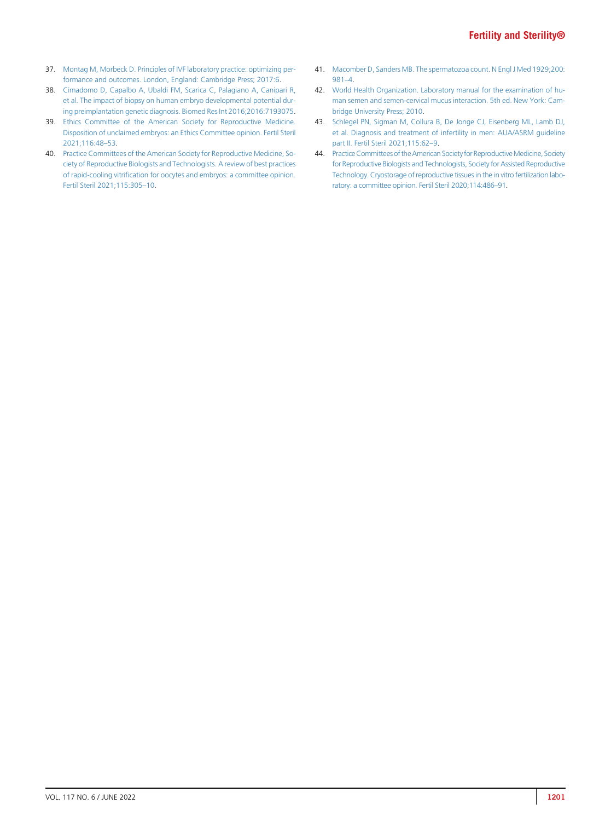- <span id="page-18-0"></span>37. [Montag M, Morbeck D. Principles of IVF laboratory practice: optimizing per](http://refhub.elsevier.com/S0015-0282(22)00131-5/sref37)[formance and outcomes. London, England: Cambridge Press; 2017:6.](http://refhub.elsevier.com/S0015-0282(22)00131-5/sref37)
- <span id="page-18-1"></span>38. [Cimadomo D, Capalbo A, Ubaldi FM, Scarica C, Palagiano A, Canipari R,](http://refhub.elsevier.com/S0015-0282(22)00131-5/sref38) [et al. The impact of biopsy on human embryo developmental potential dur](http://refhub.elsevier.com/S0015-0282(22)00131-5/sref38)[ing preimplantation genetic diagnosis. Biomed Res Int 2016;2016:7193075](http://refhub.elsevier.com/S0015-0282(22)00131-5/sref38).
- <span id="page-18-2"></span>39. [Ethics Committee of the American Society for Reproductive Medicine.](http://refhub.elsevier.com/S0015-0282(22)00131-5/sref39) [Disposition of unclaimed embryos: an Ethics Committee opinion. Fertil Steril](http://refhub.elsevier.com/S0015-0282(22)00131-5/sref39) [2021;116:48](http://refhub.elsevier.com/S0015-0282(22)00131-5/sref39)–53.
- <span id="page-18-3"></span>40. [Practice Committees of the American Society for Reproductive Medicine, So](http://refhub.elsevier.com/S0015-0282(22)00131-5/sref40)[ciety of Reproductive Biologists and Technologists. A review of best practices](http://refhub.elsevier.com/S0015-0282(22)00131-5/sref40) of rapid-cooling vitrifi[cation for oocytes and embryos: a committee opinion.](http://refhub.elsevier.com/S0015-0282(22)00131-5/sref40) [Fertil Steril 2021;115:305](http://refhub.elsevier.com/S0015-0282(22)00131-5/sref40)–10.
- <span id="page-18-5"></span>41. [Macomber D, Sanders MB. The spermatozoa count. N Engl J Med 1929;200:](http://refhub.elsevier.com/S0015-0282(22)00131-5/sref41) [981](http://refhub.elsevier.com/S0015-0282(22)00131-5/sref41)–4.
- <span id="page-18-6"></span>42. [World Health Organization. Laboratory manual for the examination of hu](http://refhub.elsevier.com/S0015-0282(22)00131-5/sref42)[man semen and semen-cervical mucus interaction. 5th ed. New York: Cam](http://refhub.elsevier.com/S0015-0282(22)00131-5/sref42)[bridge University Press; 2010.](http://refhub.elsevier.com/S0015-0282(22)00131-5/sref42)
- <span id="page-18-7"></span>43. [Schlegel PN, Sigman M, Collura B, De Jonge CJ, Eisenberg ML, Lamb DJ,](http://refhub.elsevier.com/S0015-0282(22)00131-5/sref43) [et al. Diagnosis and treatment of infertility in men: AUA/ASRM guideline](http://refhub.elsevier.com/S0015-0282(22)00131-5/sref43) [part II. Fertil Steril 2021;115:62](http://refhub.elsevier.com/S0015-0282(22)00131-5/sref43)–9.
- <span id="page-18-4"></span>44. Practice Committees of the American Society for Reproductive Medicine, Society [for Reproductive Biologists and Technologists, Society for Assisted Reproductive](http://refhub.elsevier.com/S0015-0282(22)00131-5/sref44) [Technology. Cryostorage of reproductive tissues in the in vitro fertilization labo](http://refhub.elsevier.com/S0015-0282(22)00131-5/sref44)[ratory: a committee opinion. Fertil Steril 2020;114:486](http://refhub.elsevier.com/S0015-0282(22)00131-5/sref44)–91.